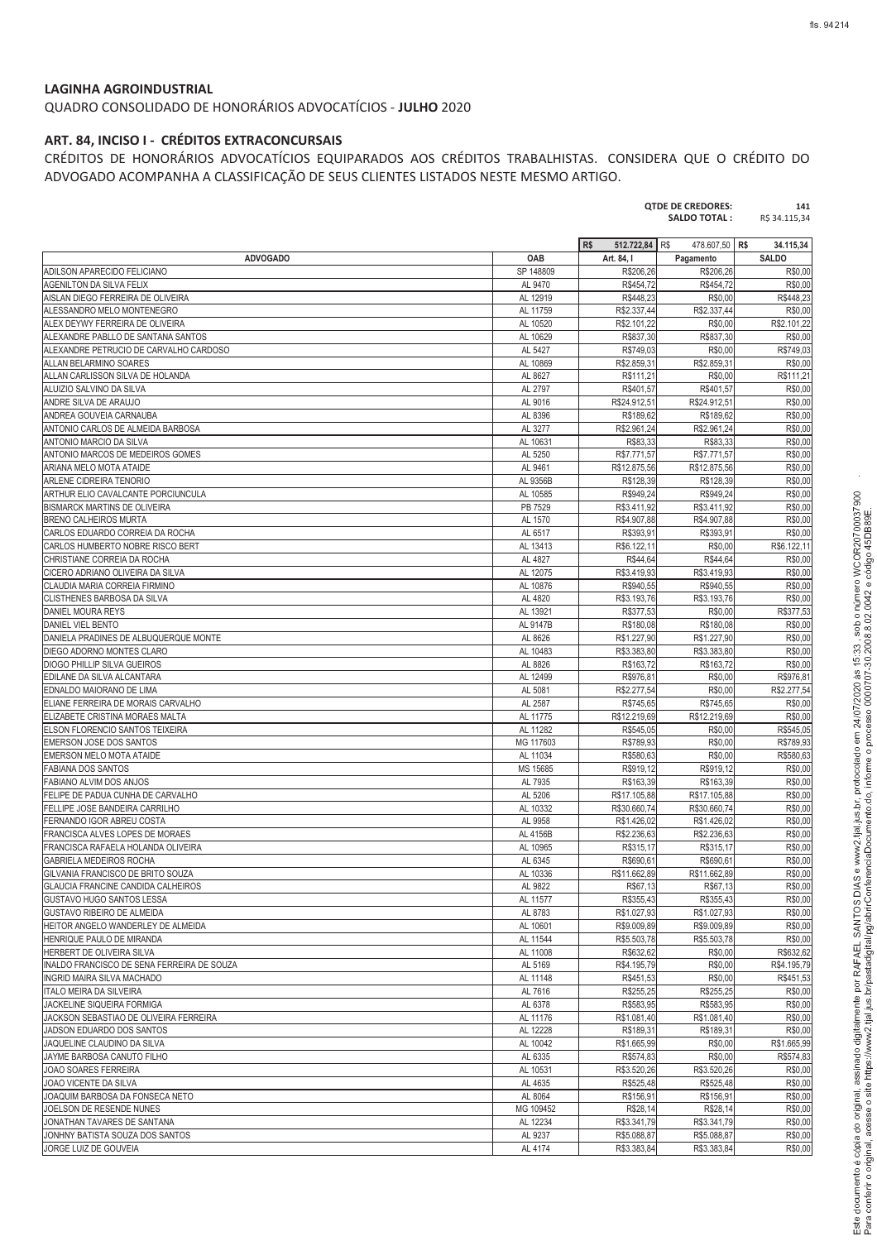### **LAGINHA AGROINDUSTRIAL**

QUADRO CONSOLIDADO DE HONORÁRIOS ADVOCATÍCIOS - **JULHO** 2020

### **ART. 84, INCISO I - CRÉDITOS EXTRACONCURSAIS**

CRÉDITOS DE HONORÁRIOS ADVOCATÍCIOS EQUIPARADOS AOS CRÉDITOS TRABALHISTAS. CONSIDERA QUE O CRÉDITO DO ADVOGADO ACOMPANHA A CLASSIFICAÇÃO DE SEUS CLIENTES LISTADOS NESTE MESMO ARTIGO.

|                                                               |                       |                            | <b>SALDO TOTAL:</b>        | R\$ 34.115,34          |
|---------------------------------------------------------------|-----------------------|----------------------------|----------------------------|------------------------|
|                                                               |                       | R\$<br>512.722,84          | R\$<br>478.607,50 R\$      | 34.115,34              |
| <b>ADVOGADO</b>                                               | OAB                   | Art. 84, I                 | Pagamento                  | <b>SALDO</b>           |
| ADILSON APARECIDO FELICIANO                                   | SP 148809             | R\$206,26                  | R\$206,26                  | R\$0,00                |
| AGENILTON DA SILVA FELIX                                      | AL 9470               | R\$454,72                  | R\$454,72                  | R\$0,00                |
| AISLAN DIEGO FERREIRA DE OLIVEIRA                             | AL 12919              | R\$448,23                  | R\$0,00                    | R\$448,23              |
| ALESSANDRO MELO MONTENEGRO<br>ALEX DEYWY FERREIRA DE OLIVEIRA | AL 11759<br>AL 10520  | R\$2.337,44<br>R\$2.101,22 | R\$2,337.44<br>R\$0,00     | R\$0,00<br>R\$2.101,22 |
| ALEXANDRE PABLLO DE SANTANA SANTOS                            | AL 10629              | R\$837,30                  | R\$837,30                  | R\$0,00                |
| ALEXANDRE PETRUCIO DE CARVALHO CARDOSO                        | AL 5427               | R\$749,03                  | R\$0,00                    | R\$749,03              |
| ALLAN BELARMINO SOARES                                        | AL 10869              | R\$2.859,31                | R\$2.859,31                | R\$0,00                |
| ALLAN CARLISSON SILVA DE HOLANDA                              | AL 8627               | R\$111.21                  | R\$0,00                    | R\$111,21              |
| ALUIZIO SALVINO DA SILVA                                      | AL 2797               | R\$401,57                  | R\$401,57                  | R\$0,00                |
| ANDRE SILVA DE ARAUJO                                         | AL 9016               | R\$24.912.51               | R\$24.912,51               | R\$0,00                |
| ANDREA GOUVEIA CARNAUBA                                       | AL 8396               | R\$189,62                  | R\$189,62                  | R\$0,00                |
| ANTONIO CARLOS DE ALMEIDA BARBOSA                             | AL 3277               | R\$2.961,24                | R\$2.961,24                | R\$0.00                |
| ANTONIO MARCIO DA SILVA<br>ANTONIO MARCOS DE MEDEIROS GOMES   | AL 10631<br>AL 5250   | R\$83,33<br>R\$7.771,57    | R\$83,33<br>R\$7.771,57    | R\$0,00<br>R\$0,00     |
| ARIANA MELO MOTA ATAIDE                                       | AL 9461               | R\$12.875,56               | R\$12.875,56               | R\$0,00                |
| ARLENE CIDREIRA TENORIO                                       | AL 9356B              | R\$128,39                  | R\$128,39                  | R\$0,00                |
| ARTHUR ELIO CAVALCANTE PORCIUNCULA                            | AL 10585              | R\$949,24                  | R\$949,24                  | R\$0,00                |
| <b>BISMARCK MARTINS DE OLIVEIRA</b>                           | PB 7529               | R\$3.411,92                | R\$3.411,92                | R\$0,00                |
| <b>BRENO CALHEIROS MURTA</b>                                  | AL 1570               | R\$4.907,88                | R\$4.907,88                | R\$0,00                |
| CARLOS EDUARDO CORREIA DA ROCHA                               | AL 6517               | R\$393,91                  | R\$393,91                  | R\$0,00                |
| CARLOS HUMBERTO NOBRE RISCO BERT                              | AL 13413              | R\$6.122.11                | R\$0,00                    | R\$6.122,11            |
| CHRISTIANE CORREIA DA ROCHA                                   | AL 4827               | R\$44,64                   | R\$44,64                   | R\$0,00                |
| CICERO ADRIANO OLIVEIRA DA SILVA                              | AL 12075              | R\$3.419,93                | R\$3.419,93                | R\$0,00                |
| CLAUDIA MARIA CORREIA FIRMINO                                 | AL 10876              | R\$940,55                  | R\$940,55                  | R\$0,00                |
| CLISTHENES BARBOSA DA SILVA                                   | AL 4820               | R\$3.193,76                | R\$3.193,76                | R\$0.00<br>R\$377,53   |
| DANIEL MOURA REYS<br>DANIEL VIEL BENTO                        | AL 13921<br>AL 9147B  | R\$377,53<br>R\$180.08     | R\$0,00<br>R\$180,08       | R\$0,00                |
| DANIELA PRADINES DE ALBUQUERQUE MONTE                         | AL 8626               | R\$1.227,90                | R\$1.227,90                | R\$0,00                |
| DIEGO ADORNO MONTES CLARO                                     | AL 10483              | R\$3.383,80                | R\$3.383,80                | R\$0,00                |
| <b>DIOGO PHILLIP SILVA GUEIROS</b>                            | AL 8826               | R\$163,72                  | R\$163,72                  | R\$0,00                |
| EDILANE DA SILVA ALCANTARA                                    | AL 12499              | R\$976,81                  | R\$0,00                    | R\$976,81              |
| EDNALDO MAIORANO DE LIMA                                      | AL 5081               | R\$2.277,54                | R\$0,00                    | R\$2.277,54            |
| ELIANE FERREIRA DE MORAIS CARVALHO                            | AL 2587               | R\$745,65                  | R\$745,65                  | R\$0,00                |
| ELIZABETE CRISTINA MORAES MALTA                               | AL 11775              | R\$12.219,69               | R\$12.219,69               | R\$0,00                |
| ELSON FLORENCIO SANTOS TEIXEIRA<br>EMERSON JOSE DOS SANTOS    | AL 11282<br>MG 117603 | R\$545,05<br>R\$789,93     | R\$0,00<br>R\$0,00         | R\$545,05<br>R\$789,93 |
| EMERSON MELO MOTA ATAIDE                                      | AL 11034              | R\$580,63                  | R\$0,00                    | R\$580,63              |
| <b>FABIANA DOS SANTOS</b>                                     | MS 15685              | R\$919,12                  | R\$919,12                  | R\$0,00                |
| <b>FABIANO ALVIM DOS ANJOS</b>                                | AL 7935               | R\$163,39                  | R\$163,39                  | R\$0.00                |
| FELIPE DE PADUA CUNHA DE CARVALHO                             | AL 5206               | R\$17.105,88               | R\$17.105,88               | R\$0,00                |
| FELLIPE JOSE BANDEIRA CARRILHO                                | AL 10332              | R\$30.660,74               | R\$30.660,74               | R\$0,00                |
| FERNANDO IGOR ABREU COSTA                                     | AL 9958               | R\$1.426,02                | R\$1.426,02                | R\$0,00                |
| FRANCISCA ALVES LOPES DE MORAES                               | AL 4156B              | R\$2.236,63                | R\$2.236,63                | R\$0,00                |
| FRANCISCA RAFAELA HOLANDA OLIVEIRA                            | AL 10965              | R\$315,17                  | R\$315,17                  | R\$0,00                |
| GABRIELA MEDEIROS ROCHA<br>GILVANIA FRANCISCO DE BRITO SOUZA  | AL 6345               | R\$690,61<br>R\$11.662,89  | R\$690,61<br>R\$11.662,89  | R\$0,00<br>R\$0,00     |
| <b>GLAUCIA FRANCINE CANDIDA CALHEIROS</b>                     | AL 10336<br>AL 9822   | R\$67,13                   | R\$67,13                   | R\$0,00                |
| GUSTAVO HUGO SANTOS LESSA                                     | AL 11577              | R\$355,43                  | R\$355,43                  | R\$0,00                |
| GUSTAVO RIBEIRO DE ALMEIDA                                    | AL 8783               | R\$1.027,93                | R\$1.027,93                | R\$0,00                |
| HEITOR ANGELO WANDERLEY DE ALMEIDA                            | AL 10601              | R\$9.009,89                | R\$9.009,89                | R\$0,00                |
| HENRIQUE PAULO DE MIRANDA                                     | AL 11544              | R\$5.503,78                | R\$5.503,78                | R\$0,00                |
| HERBERT DE OLIVEIRA SILVA                                     | AL 11008              | R\$632.62                  | R\$0,00                    | R\$632,62              |
| INALDO FRANCISCO DE SENA FERREIRA DE SOUZA                    | AL 5169               | R\$4.195,79                | R\$0,00                    | R\$4.195,79            |
| INGRID MAIRA SILVA MACHADO                                    | AL 11148              | R\$451.53                  | R\$0,00                    | R\$451.53              |
| ITALO MEIRA DA SILVEIRA<br>JACKELINE SIQUEIRA FORMIGA         | AL 7616<br>AL 6378    | R\$255,25<br>R\$583,95     | R\$255,25<br>R\$583,95     | R\$0,00<br>R\$0,00     |
| JACKSON SEBASTIAO DE OLIVEIRA FERREIRA                        | AL 11176              | R\$1.081,40                | R\$1.081,40                | R\$0,00                |
| JADSON EDUARDO DOS SANTOS                                     | AL 12228              | R\$189,31                  | R\$189,31                  | R\$0,00                |
| JAQUELINE CLAUDINO DA SILVA                                   | AL 10042              | R\$1.665,99                | R\$0,00                    | R\$1.665,99            |
| JAYME BARBOSA CANUTO FILHO                                    | AL 6335               | R\$574,83                  | R\$0,00                    | R\$574,83              |
| JOAO SOARES FERREIRA                                          | AL 10531              | R\$3.520,26                | R\$3.520,26                | R\$0,00                |
| JOAO VICENTE DA SILVA                                         | AL 4635               | R\$525,48                  | R\$525,48                  | R\$0,00                |
| JOAQUIM BARBOSA DA FONSECA NETO                               | AL 8064               | R\$156,91                  | R\$156,91                  | R\$0,00                |
| JOELSON DE RESENDE NUNES                                      | MG 109452             | R\$28,14                   | R\$28,14                   | R\$0,00                |
| JONATHAN TAVARES DE SANTANA                                   | AL 12234              | R\$3.341,79                | R\$3.341,79                | R\$0,00                |
| JONHNY BATISTA SOUZA DOS SANTOS<br>JORGE LUIZ DE GOUVEIA      | AL 9237<br>AL 4174    | R\$5.088,87<br>R\$3.383,84 | R\$5.088,87<br>R\$3.383,84 | R\$0,00<br>R\$0,00     |
|                                                               |                       |                            |                            |                        |

 $\ddot{\phantom{1}}$ 

-

**QTDE DE CREDORES: 141**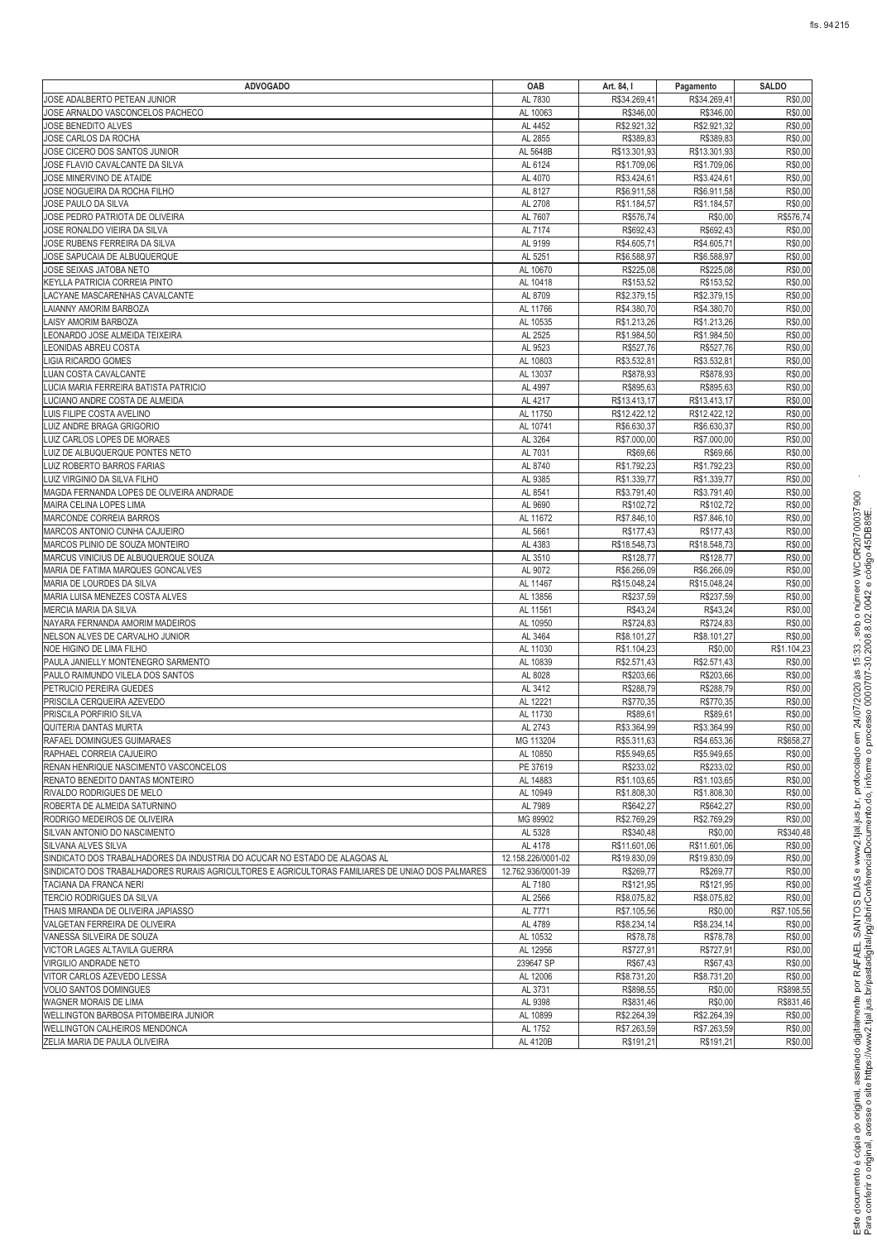| <b>ADVOGADO</b>                                                                                 | OAB                | Art. 84, I   | Pagamento    | <b>SALDO</b> |
|-------------------------------------------------------------------------------------------------|--------------------|--------------|--------------|--------------|
| JOSE ADALBERTO PETEAN JUNIOR                                                                    | AL 7830            | R\$34.269,41 | R\$34.269,41 | R\$0,00      |
| JOSE ARNALDO VASCONCELOS PACHECO                                                                | AL 10063           | R\$346,00    | R\$346,00    | R\$0,00      |
| JOSE BENEDITO ALVES                                                                             | AL 4452            | R\$2.921,32  | R\$2.921,32  | R\$0,00      |
| JOSE CARLOS DA ROCHA                                                                            | AL 2855            | R\$389,83    | R\$389,83    | R\$0,00      |
| JOSE CICERO DOS SANTOS JUNIOR                                                                   | AL 5648B           | R\$13.301,93 | R\$13.301,93 | R\$0,00      |
| JOSE FLAVIO CAVALCANTE DA SILVA                                                                 | AL 6124            | R\$1.709,06  | R\$1.709,06  | R\$0,00      |
| JOSE MINERVINO DE ATAIDE                                                                        | AL 4070            | R\$3.424,61  | R\$3.424,61  | R\$0,00      |
| JOSE NOGUEIRA DA ROCHA FILHO                                                                    | AL 8127            | R\$6.911,58  | R\$6.911,58  | R\$0,00      |
| JOSE PAULO DA SILVA                                                                             | AL 2708            | R\$1.184,57  | R\$1.184,57  | R\$0,00      |
| JOSE PEDRO PATRIOTA DE OLIVEIRA                                                                 | AL 7607            | R\$576,74    | R\$0,00      | R\$576,74    |
| JOSE RONALDO VIEIRA DA SILVA                                                                    | AL 7174            | R\$692,43    | R\$692,43    | R\$0,00      |
| JOSE RUBENS FERREIRA DA SILVA                                                                   | AL 9199            | R\$4.605,71  | R\$4.605,71  | R\$0,00      |
| JOSE SAPUCAIA DE ALBUQUERQUE                                                                    | AL 5251            | R\$6.588,97  | R\$6.588,97  | R\$0,00      |
| JOSE SEIXAS JATOBA NETO                                                                         | AL 10670           | R\$225,08    | R\$225,08    | R\$0,00      |
| KEYLLA PATRICIA CORREIA PINTO                                                                   | AL 10418           | R\$153,52    | R\$153,52    | R\$0,00      |
| LACYANE MASCARENHAS CAVALCANTE                                                                  | AL 8709            | R\$2.379,15  | R\$2.379,15  | R\$0,00      |
| LAIANNY AMORIM BARBOZA                                                                          | AL 11766           | R\$4.380,70  | R\$4.380,70  | R\$0,00      |
| LAISY AMORIM BARBOZA                                                                            | AL 10535           | R\$1.213,26  | R\$1.213,26  | R\$0,00      |
| LEONARDO JOSE ALMEIDA TEIXEIRA                                                                  | AL 2525            | R\$1.984,50  | R\$1.984,50  | R\$0,00      |
| LEONIDAS ABREU COSTA                                                                            | AL 9523            | R\$527,76    | R\$527,76    | R\$0,00      |
| LIGIA RICARDO GOMES                                                                             | AL 10803           | R\$3.532,81  | R\$3.532,81  | R\$0,00      |
| LUAN COSTA CAVALCANTE                                                                           | AL 13037           | R\$878,93    | R\$878,93    | R\$0,00      |
| LUCIA MARIA FERREIRA BATISTA PATRICIO                                                           | AL 4997            | R\$895,63    | R\$895,63    | R\$0,00      |
| LUCIANO ANDRE COSTA DE ALMEIDA                                                                  | AL 4217            | R\$13.413,17 | R\$13.413,17 | R\$0,00      |
| LUIS FILIPE COSTA AVELINO                                                                       | AL 11750           | R\$12.422,12 | R\$12.422,12 | R\$0,00      |
| LUIZ ANDRE BRAGA GRIGORIO                                                                       | AL 10741           | R\$6.630,37  | R\$6.630,37  | R\$0,00      |
| LUIZ CARLOS LOPES DE MORAES                                                                     | AL 3264            | R\$7.000,00  | R\$7.000,00  | R\$0,00      |
| LUIZ DE ALBUQUERQUE PONTES NETO                                                                 | AL 7031            | R\$69,66     | R\$69,66     | R\$0,00      |
| LUIZ ROBERTO BARROS FARIAS                                                                      | AL 8740            | R\$1.792,23  | R\$1.792,23  | R\$0,00      |
| LUIZ VIRGINIO DA SILVA FILHO                                                                    | AL 9385            | R\$1.339,77  | R\$1.339,77  | R\$0,00      |
| MAGDA FERNANDA LOPES DE OLIVEIRA ANDRADE                                                        | AL 8541            | R\$3.791,40  | R\$3.791,40  | R\$0,00      |
| MAIRA CELINA LOPES LIMA                                                                         | AL 9690            | R\$102,72    | R\$102,72    | R\$0,00      |
| MARCONDE CORREIA BARROS                                                                         | AL 11672           | R\$7.846,10  | R\$7.846,10  | R\$0,00      |
| MARCOS ANTONIO CUNHA CAJUEIRO                                                                   | AL 5661            | R\$177,43    | R\$177,43    | R\$0,00      |
| MARCOS PLINIO DE SOUZA MONTEIRO                                                                 | AL 4383            | R\$18.548,73 | R\$18.548,73 | R\$0,00      |
| MARCUS VINICIUS DE ALBUQUERQUE SOUZA                                                            | AL 3510            | R\$128,77    | R\$128,77    | R\$0,00      |
| MARIA DE FATIMA MARQUES GONCALVES                                                               | AL 9072            | R\$6.266,09  | R\$6.266,09  | R\$0,00      |
| MARIA DE LOURDES DA SILVA                                                                       | AL 11467           | R\$15.048,24 | R\$15.048,24 | R\$0,00      |
| MARIA LUISA MENEZES COSTA ALVES                                                                 | AL 13856           | R\$237,59    | R\$237,59    | R\$0,00      |
| MERCIA MARIA DA SILVA                                                                           | AL 11561           | R\$43,24     | R\$43,24     | R\$0,00      |
| NAYARA FERNANDA AMORIM MADEIROS                                                                 | AL 10950           | R\$724,83    | R\$724,83    | R\$0,00      |
| NELSON ALVES DE CARVALHO JUNIOR                                                                 | AL 3464            | R\$8.101,27  | R\$8.101,27  | R\$0,00      |
| NOE HIGINO DE LIMA FILHO                                                                        | AL 11030           | R\$1.104,23  | R\$0,00      | R\$1.104,23  |
| PAULA JANIELLY MONTENEGRO SARMENTO                                                              | AL 10839           | R\$2.571,43  | R\$2.571,43  | R\$0,00      |
| PAULO RAIMUNDO VILELA DOS SANTOS                                                                | AL 8028            | R\$203,66    | R\$203,66    | R\$0,00      |
| PETRUCIO PEREIRA GUEDES                                                                         | AL 3412            | R\$288.79    | R\$288,79    | R\$0,00      |
| PRISCILA CERQUEIRA AZEVEDO                                                                      | AL 12221           | R\$770,35    | R\$770,35    | R\$0,00      |
| PRISCILA PORFIRIO SILVA                                                                         | AL 11730           | R\$89,61     | R\$89,61     | R\$0,00      |
| QUITERIA DANTAS MURTA                                                                           | AL 2743            | R\$3.364,99  | R\$3.364,99  | R\$0,00      |
| RAFAEL DOMINGUES GUIMARAES                                                                      | MG 113204          | R\$5.311,63  | R\$4.653,36  | R\$658,27    |
| RAPHAEL CORREIA CAJUEIRO                                                                        | AL 10850           | R\$5.949,65  | R\$5.949,65  | R\$0,00      |
| RENAN HENRIQUE NASCIMENTO VASCONCELOS                                                           | PE 37619           | R\$233,02    | R\$233,02    | R\$0,00      |
| RENATO BENEDITO DANTAS MONTEIRO                                                                 | AL 14883           | R\$1.103,65  | R\$1.103,65  | R\$0,00      |
| RIVALDO RODRIGUES DE MELO                                                                       | AL 10949           | R\$1.808,30  | R\$1.808,30  | R\$0,00      |
| ROBERTA DE ALMEIDA SATURNINO                                                                    | AL 7989            | R\$642,27    | R\$642,27    | R\$0,00      |
| RODRIGO MEDEIROS DE OLIVEIRA                                                                    | MG 89902           | R\$2.769,29  | R\$2.769,29  | R\$0,00      |
| SILVAN ANTONIO DO NASCIMENTO                                                                    | AL 5328            | R\$340,48    | R\$0,00      | R\$340,48    |
| SILVANA ALVES SILVA                                                                             | AL 4178            | R\$11.601,06 | R\$11.601,06 | R\$0,00      |
| SINDICATO DOS TRABALHADORES DA INDUSTRIA DO ACUCAR NO ESTADO DE ALAGOAS AL                      | 12.158.226/0001-02 | R\$19.830,09 | R\$19.830,09 | R\$0,00      |
| SINDICATO DOS TRABALHADORES RURAIS AGRICULTORES E AGRICULTORAS FAMILIARES DE UNIAO DOS PALMARES | 12.762.936/0001-39 | R\$269,77    | R\$269,77    | R\$0,00      |
| TACIANA DA FRANCA NERI                                                                          | AL 7180            | R\$121,95    | R\$121,95    | R\$0,00      |
| TERCIO RODRIGUES DA SILVA                                                                       | AL 2566            | R\$8.075,82  | R\$8.075,82  | R\$0,00      |
| THAIS MIRANDA DE OLIVEIRA JAPIASSO                                                              | AL 7771            | R\$7.105,56  | R\$0,00      | R\$7.105,56  |
| VALGETAN FERREIRA DE OLIVEIRA                                                                   | AL 4789            | R\$8.234,14  | R\$8.234,14  | R\$0,00      |
| VANESSA SILVEIRA DE SOUZA                                                                       | AL 10532           | R\$78,78     | R\$78,78     | R\$0,00      |
| VICTOR LAGES ALTAVILA GUERRA                                                                    | AL 12956           | R\$727,91    | R\$727,91    | R\$0,00      |
| VIRGILIO ANDRADE NETO                                                                           | 239647 SP          | R\$67,43     | R\$67,43     | R\$0,00      |
| VITOR CARLOS AZEVEDO LESSA                                                                      | AL 12006           | R\$8.731,20  | R\$8.731,20  | R\$0,00      |
| VOLIO SANTOS DOMINGUES                                                                          | AL 3731            | R\$898,55    | R\$0,00      | R\$898,55    |
| WAGNER MORAIS DE LIMA                                                                           | AL 9398            | R\$831,46    | R\$0,00      | R\$831,46    |
| WELLINGTON BARBOSA PITOMBEIRA JUNIOR                                                            | AL 10899           | R\$2.264,39  | R\$2.264,39  | R\$0,00      |
| WELLINGTON CALHEIROS MENDONCA                                                                   | AL 1752            | R\$7.263,59  | R\$7.263,59  | R\$0,00      |
| ZELIA MARIA DE PAULA OLIVEIRA                                                                   | AL 4120B           | R\$191,21    | R\$191,21    | R\$0,00      |

-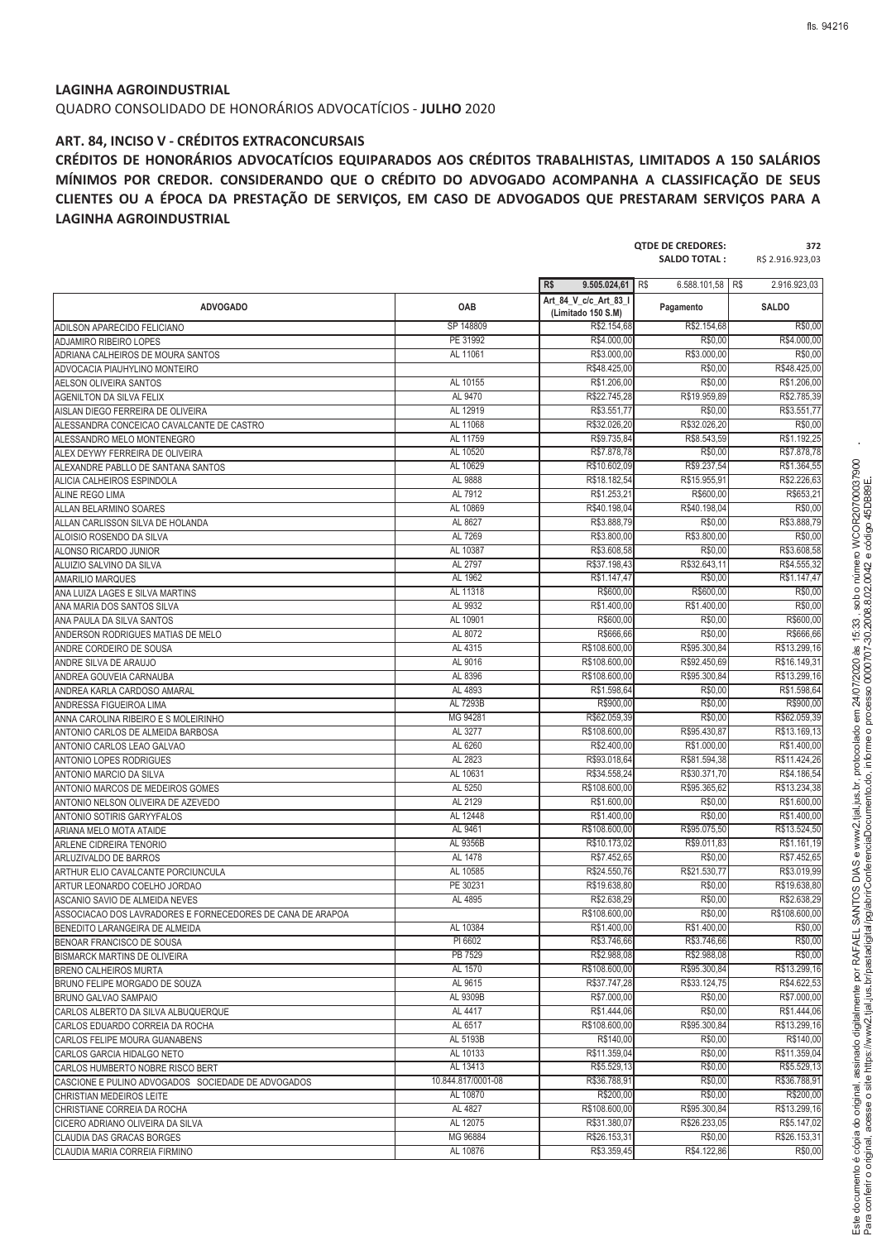**QTDE DE CREDORES: 372**

#### **LAGINHA AGROINDUSTRIAL**

QUADRO CONSOLIDADO DE HONORÁRIOS ADVOCATÍCIOS - **JULHO** 2020

#### **ART. 84, INCISO V - CRÉDITOS EXTRACONCURSAIS**

**CRÉDITOS DE HONORÁRIOS ADVOCATÍCIOS EQUIPARADOS AOS CRÉDITOS TRABALHISTAS, LIMITADOS A 150 SALÁRIOS MÍNIMOS POR CREDOR. CONSIDERANDO QUE O CRÉDITO DO ADVOGADO ACOMPANHA A CLASSIFICAÇÃO DE SEUS CLIENTES OU A ÉPOCA DA PRESTAÇÃO DE SERVIÇOS, EM CASO DE ADVOGADOS QUE PRESTARAM SERVIÇOS PARA A LAGINHA AGROINDUSTRIAL**

|                                                            |                    |                                             | <b>SALDO TOTAL:</b>       | R\$ 2.916.923,03             |
|------------------------------------------------------------|--------------------|---------------------------------------------|---------------------------|------------------------------|
|                                                            |                    | R\$<br>9.505.024,61                         | R\$<br>6.588.101,58   R\$ | 2.916.923.03                 |
| <b>ADVOGADO</b>                                            | OAB                | Art 84 V c/c Art 83 I<br>(Limitado 150 S.M) | Pagamento                 | <b>SALDO</b>                 |
| ADILSON APARECIDO FELICIANO                                | SP 148809          | R\$2.154,68                                 | R\$2.154,68               | R\$0,00                      |
| ADJAMIRO RIBEIRO LOPES                                     | PE 31992           | R\$4.000,00                                 | R\$0,00                   | R\$4.000,00                  |
| ADRIANA CALHEIROS DE MOURA SANTOS                          | AL 11061           | R\$3.000,00                                 | R\$3.000,00               | R\$0,00                      |
| ADVOCACIA PIAUHYLINO MONTEIRO                              |                    | R\$48.425,00                                | R\$0,00                   | R\$48.425,00                 |
| AELSON OLIVEIRA SANTOS                                     | AL 10155           | R\$1.206,00                                 | R\$0,00                   | R\$1.206,00                  |
| <b>AGENILTON DA SILVA FELIX</b>                            | AL 9470            | R\$22.745,28                                | R\$19,959.89              | R\$2.785,39                  |
| AISLAN DIEGO FERREIRA DE OLIVEIRA                          | AL 12919           | R\$3.551,77                                 | R\$0,00                   | R\$3.551,77                  |
| ALESSANDRA CONCEICAO CAVALCANTE DE CASTRO                  | AL 11068           | R\$32.026,20                                | R\$32.026,20              | R\$0,00                      |
| ALESSANDRO MELO MONTENEGRO                                 | AL 11759           | R\$9.735,84                                 | R\$8.543,59               | R\$1.192,25                  |
| ALEX DEYWY FERREIRA DE OLIVEIRA                            | AL 10520           | R\$7.878,78                                 | R\$0,00                   | R\$7.878,78                  |
| ALEXANDRE PABLLO DE SANTANA SANTOS                         | AL 10629           | R\$10.602,09                                | R\$9.237,54               | R\$1.364,55                  |
| ALICIA CALHEIROS ESPINDOLA                                 | AL 9888            | R\$18.182,54                                | R\$15.955,91              | R\$2.226,63                  |
| <b>ALINE REGO LIMA</b>                                     | AL 7912            | R\$1.253,21                                 | R\$600,00                 | R\$653,21                    |
| ALLAN BELARMINO SOARES                                     | AL 10869           | R\$40.198,04                                | R\$40.198,04              | R\$0,00                      |
| ALLAN CARLISSON SILVA DE HOLANDA                           | AL 8627            | R\$3.888,79                                 | R\$0,00                   | R\$3.888,79                  |
| ALOISIO ROSENDO DA SILVA                                   | AL 7269            | R\$3.800,00                                 | R\$3.800,00               | R\$0,00                      |
| ALONSO RICARDO JUNIOR                                      | AL 10387           | R\$3.608,58                                 | R\$0,00                   | R\$3.608,58                  |
| ALUIZIO SALVINO DA SILVA                                   | AL 2797            | R\$37.198,43                                | R\$32.643,11              | R\$4.555,32                  |
|                                                            | AL 1962            | R\$1.147,47                                 | R\$0.00                   | R\$1.147,47                  |
| <b>AMARILIO MARQUES</b><br>ANA LUIZA LAGES E SILVA MARTINS | AL 11318           | R\$600,00                                   | R\$600,00                 | R\$0,00                      |
|                                                            | AL 9932            | R\$1.400,00                                 | R\$1.400,00               | R\$0,00                      |
| ANA MARIA DOS SANTOS SILVA                                 | AL 10901           | R\$600,00                                   | R\$0,00                   | R\$600,00                    |
| ANA PAULA DA SILVA SANTOS                                  |                    |                                             |                           |                              |
| ANDERSON RODRIGUES MATIAS DE MELO                          | AL 8072            | R\$666,66<br>R\$108,600.00                  | R\$0,00                   | R\$666,66                    |
| ANDRE CORDEIRO DE SOUSA                                    | AL 4315<br>AL 9016 |                                             | R\$95.300,84              | R\$13.299,16<br>R\$16,149.31 |
| ANDRE SILVA DE ARAUJO                                      |                    | R\$108.600,00                               | R\$92.450,69              |                              |
| ANDREA GOUVEIA CARNAUBA                                    | AL 8396            | R\$108.600,00                               | R\$95.300,84              | R\$13.299,16                 |
| ANDREA KARLA CARDOSO AMARAL                                | AL 4893            | R\$1.598,64                                 | R\$0,00                   | R\$1.598,64                  |
| ANDRESSA FIGUEIROA LIMA                                    | AL 7293B           | R\$900,00                                   | R\$0,00                   | R\$900,00                    |
| ANNA CAROLINA RIBEIRO E S MOLEIRINHO                       | MG 94281           | R\$62.059,39                                | R\$0,00                   | R\$62.059,39                 |
| ANTONIO CARLOS DE ALMEIDA BARBOSA                          | AL 3277            | R\$108.600,00                               | R\$95.430,87              | R\$13.169,13                 |
| ANTONIO CARLOS LEAO GALVAO                                 | AL 6260            | R\$2.400,00                                 | R\$1,000.00               | R\$1,400.00                  |
| ANTONIO LOPES RODRIGUES                                    | AL 2823            | R\$93.018,64                                | R\$81.594,38              | R\$11.424,26                 |
| ANTONIO MARCIO DA SILVA                                    | AL 10631           | R\$34.558,24                                | R\$30.371,70              | R\$4.186,54                  |
| ANTONIO MARCOS DE MEDEIROS GOMES                           | AL 5250            | R\$108.600,00                               | R\$95.365,62              | R\$13.234,38                 |
| ANTONIO NELSON OLIVEIRA DE AZEVEDO                         | AL 2129            | R\$1.600,00                                 | R\$0,00                   | R\$1.600,00                  |
| <b>ANTONIO SOTIRIS GARYYFALOS</b>                          | AL 12448           | R\$1.400,00                                 | R\$0,00                   | R\$1.400,00                  |
| ARIANA MELO MOTA ATAIDE                                    | AL 9461            | R\$108.600,00                               | R\$95.075,50              | R\$13.524.50                 |
| ARLENE CIDREIRA TENORIO                                    | AL 9356B           | R\$10.173,02                                | R\$9.011,83               | R\$1.161,19                  |
| ARLUZIVALDO DE BARROS                                      | AL 1478            | R\$7.452,65                                 | R\$0,00                   | R\$7,452.65                  |
| ARTHUR ELIO CAVALCANTE PORCIUNCULA                         | AL 10585           | R\$24.550.76                                | R\$21.530,77              | R\$3.019,99                  |
| ARTUR LEONARDO COELHO JORDAO                               | PE 30231           | R\$19.638,80                                | R\$0,00                   | R\$19.638,80                 |
| ASCANIO SAVIO DE ALMEIDA NEVES                             | AL 4895            | R\$2.638,29                                 | R\$0,00                   | R\$2.638,29                  |
| ASSOCIACAO DOS LAVRADORES E FORNECEDORES DE CANA DE ARAPOA |                    | R\$108.600,00                               | R\$0,00                   | R\$108.600,00                |
| BENEDITO LARANGEIRA DE ALMEIDA                             | AL 10384           | R\$1.400,00                                 | R\$1.400,00               | R\$0,00                      |
| BENOAR FRANCISCO DE SOUSA                                  | PI 6602            | R\$3.746,66                                 | R\$3.746,66               | R\$0,00                      |
| BISMARCK MARTINS DE OLIVEIRA                               | PB 7529            | R\$2.988,08                                 | R\$2.988,08               | R\$0,00                      |
| BRENO CALHEIROS MURTA                                      | AL 1570            | R\$108.600,00                               | R\$95.300,84              | R\$13.299,16                 |
| BRUNO FELIPE MORGADO DE SOUZA                              | AL 9615            | R\$37.747,28                                | R\$33.124,75              | R\$4.622,53                  |
| BRUNO GALVAO SAMPAIO                                       | AL 9309B           | R\$7.000,00                                 | R\$0,00                   | R\$7.000,00                  |
| CARLOS ALBERTO DA SILVA ALBUQUERQUE                        | AL 4417            | R\$1,444.06                                 | R\$0,00                   | R\$1.444,06                  |
| CARLOS EDUARDO CORREIA DA ROCHA                            | AL 6517            | R\$108.600,00                               | R\$95.300,84              | R\$13.299,16                 |
| CARLOS FELIPE MOURA GUANABENS                              | AL 5193B           | R\$140,00                                   | R\$0,00                   | R\$140,00                    |
| CARLOS GARCIA HIDALGO NETO                                 | AL 10133           | R\$11.359,04                                | R\$0,00                   | R\$11.359,04                 |
| CARLOS HUMBERTO NOBRE RISCO BERT                           | AL 13413           | R\$5.529,13                                 | R\$0,00                   | R\$5.529,13                  |
| CASCIONE E PULINO ADVOGADOS SOCIEDADE DE ADVOGADOS         | 10.844.817/0001-08 | R\$36.788,91                                | R\$0,00                   | R\$36.788,91                 |
| CHRISTIAN MEDEIROS LEITE                                   | AL 10870           | R\$200,00                                   | R\$0,00                   | R\$200,00                    |
| CHRISTIANE CORREIA DA ROCHA                                | AL 4827            | R\$108.600,00                               | R\$95.300,84              | R\$13.299,16                 |
| CICERO ADRIANO OLIVEIRA DA SILVA                           | AL 12075           | R\$31.380,07                                | R\$26.233,05              | R\$5.147,02                  |
| CLAUDIA DAS GRACAS BORGES                                  | MG 96884           | R\$26.153,31                                | R\$0,00                   | R\$26.153,31                 |
| CLAUDIA MARIA CORREIA FIRMINO                              | AL 10876           | R\$3.359,45                                 | R\$4.122,86               | R\$0,00                      |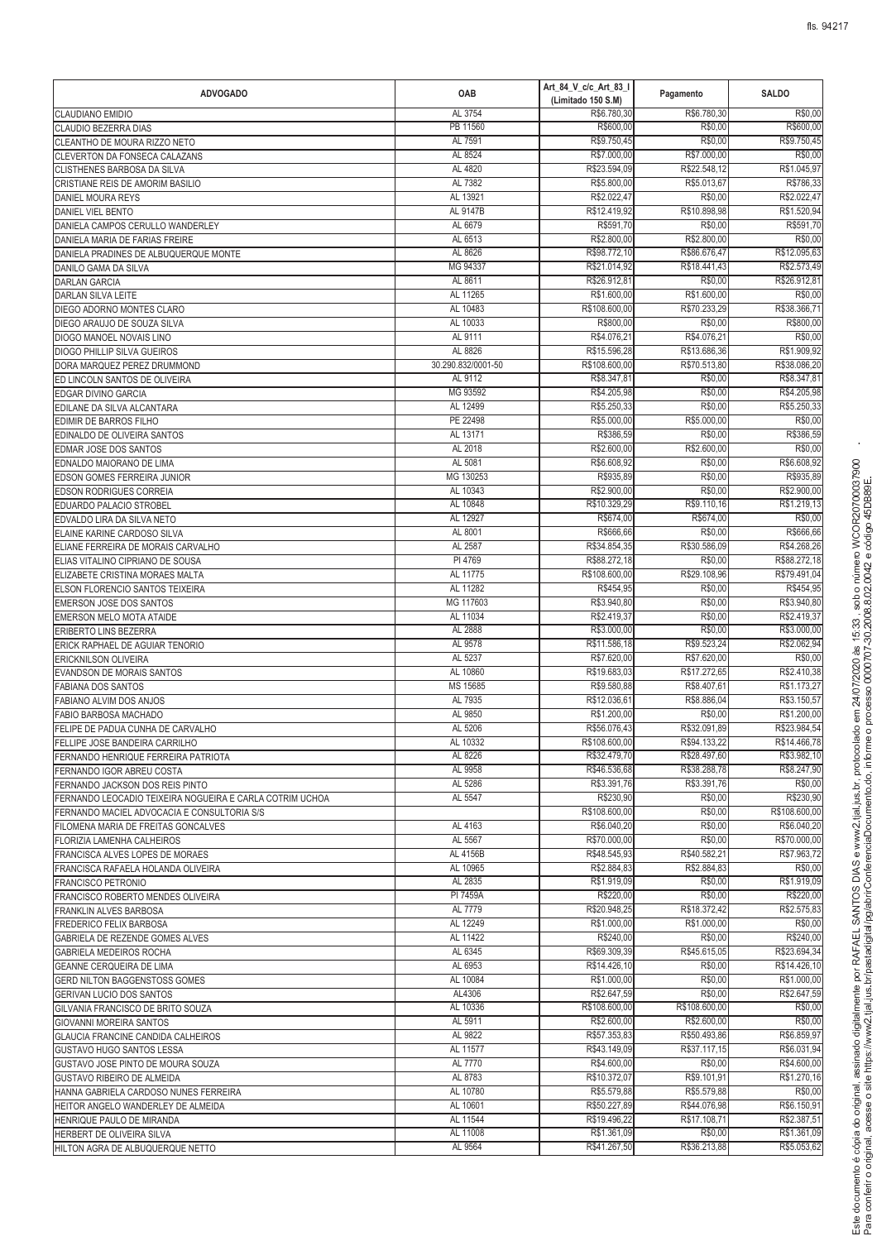| <b>ADVOGADO</b>                                                                             | OAB                  | Art_84_V_c/c_Art_83_I<br>(Limitado 150 S.M) | Pagamento                    | <b>SALDO</b>                |
|---------------------------------------------------------------------------------------------|----------------------|---------------------------------------------|------------------------------|-----------------------------|
| <b>CLAUDIANO EMIDIO</b>                                                                     | AL 3754              | R\$6.780,30                                 | R\$6.780,30                  | R\$0,00                     |
| CLAUDIO BEZERRA DIAS                                                                        | PB 11560             | R\$600,00                                   | R\$0,00                      | R\$600,00                   |
| CLEANTHO DE MOURA RIZZO NETO                                                                | AL 7591<br>AL 8524   | R\$9.750,45<br>R\$7.000,00                  | R\$0,00<br>R\$7.000,00       | R\$9.750,45<br>R\$0,00      |
| CLEVERTON DA FONSECA CALAZANS<br>CLISTHENES BARBOSA DA SILVA                                | AL 4820              | R\$23.594,09                                | R\$22.548,12                 | R\$1.045,97                 |
| CRISTIANE REIS DE AMORIM BASILIO                                                            | AL 7382              | R\$5.800,00                                 | R\$5.013,67                  | R\$786,33                   |
| DANIEL MOURA REYS                                                                           | AL 13921             | R\$2.022,47                                 | R\$0,00                      | R\$2.022,47                 |
| <b>DANIEL VIEL BENTO</b>                                                                    | AL 9147B             | R\$12.419,92                                | R\$10.898,98                 | R\$1.520,94                 |
| DANIELA CAMPOS CERULLO WANDERLEY                                                            | AL 6679              | R\$591,70                                   | R\$0,00                      | R\$591,70                   |
| DANIELA MARIA DE FARIAS FREIRE                                                              | AL 6513              | R\$2.800,00                                 | R\$2.800,00                  | R\$0,00                     |
| DANIELA PRADINES DE ALBUQUERQUE MONTE                                                       | AL 8626              | R\$98.772,10                                | R\$86.676,47                 | R\$12.095,63                |
| DANILO GAMA DA SILVA                                                                        | MG 94337<br>AL 8611  | R\$21.014,92                                | R\$18.441,43<br>R\$0,00      | R\$2.573,49<br>R\$26.912,81 |
| <b>DARLAN GARCIA</b><br><b>DARLAN SILVA LEITE</b>                                           | AL 11265             | R\$26.912,81<br>R\$1.600,00                 | R\$1.600,00                  | R\$0,00                     |
| DIEGO ADORNO MONTES CLARO                                                                   | AL 10483             | R\$108.600,00                               | R\$70.233,29                 | R\$38.366,71                |
| DIEGO ARAUJO DE SOUZA SILVA                                                                 | AL 10033             | R\$800,00                                   | R\$0,00                      | R\$800,00                   |
| DIOGO MANOEL NOVAIS LINO                                                                    | AL 9111              | R\$4.076,2                                  | R\$4.076,21                  | R\$0,00                     |
| <b>DIOGO PHILLIP SILVA GUEIROS</b>                                                          | AL 8826              | R\$15.596,28                                | R\$13.686,36                 | R\$1.909,92                 |
| DORA MARQUEZ PEREZ DRUMMOND                                                                 | 30.290.832/0001-50   | R\$108.600,00                               | R\$70.513,80                 | R\$38.086,20                |
| ED LINCOLN SANTOS DE OLIVEIRA                                                               | AL 9112              | R\$8.347,81                                 | R\$0,00                      | R\$8.347,81                 |
| EDGAR DIVINO GARCIA<br>EDILANE DA SILVA ALCANTARA                                           | MG 93592<br>AL 12499 | R\$4.205,98<br>R\$5.250,33                  | R\$0,00<br>R\$0,00           | R\$4,205.98<br>R\$5.250,33  |
| EDIMIR DE BARROS FILHO                                                                      | PE 22498             | R\$5,000.00                                 | R\$5.000,00                  | R\$0,00                     |
| EDINALDO DE OLIVEIRA SANTOS                                                                 | AL 13171             | R\$386,59                                   | R\$0,00                      | R\$386,59                   |
| EDMAR JOSE DOS SANTOS                                                                       | AL 2018              | R\$2.600,00                                 | R\$2,600.00                  | R\$0,00                     |
| EDNALDO MAIORANO DE LIMA                                                                    | AL 5081              | R\$6.608,92                                 | R\$0,00                      | R\$6.608,92                 |
| EDSON GOMES FERREIRA JUNIOR                                                                 | MG 130253            | R\$935,89                                   | R\$0,00                      | R\$935,89                   |
| <b>EDSON RODRIGUES CORREIA</b>                                                              | AL 10343             | R\$2.900,00                                 | R\$0,00                      | R\$2,900.00                 |
| EDUARDO PALACIO STROBEL                                                                     | AL 10848             | R\$10.329,29                                | R\$9.110,16                  | R\$1.219,13                 |
| EDVALDO LIRA DA SILVA NETO                                                                  | AL 12927             | R\$674,00                                   | R\$674,00                    | R\$0,00                     |
| ELAINE KARINE CARDOSO SILVA<br>ELIANE FERREIRA DE MORAIS CARVALHO                           | AL 8001<br>AL 2587   | R\$666,66<br>R\$34.854,35                   | R\$0,00<br>R\$30.586,09      | R\$666,66<br>R\$4.268,26    |
| ELIAS VITALINO CIPRIANO DE SOUSA                                                            | PI 4769              | R\$88.272,18                                | R\$0,00                      | R\$88.272,18                |
| ELIZABETE CRISTINA MORAES MALTA                                                             | AL 11775             | R\$108.600,00                               | R\$29.108,96                 | R\$79.491,04                |
| ELSON FLORENCIO SANTOS TEIXEIRA                                                             | AL 11282             | R\$454,95                                   | R\$0,00                      | R\$454,95                   |
| <b>EMERSON JOSE DOS SANTOS</b>                                                              | MG 117603            | R\$3.940,80                                 | R\$0,00                      | R\$3.940,80                 |
| EMERSON MELO MOTA ATAIDE                                                                    | AL 11034             | R\$2.419,37                                 | R\$0,00                      | R\$2.419,37                 |
| ERIBERTO LINS BEZERRA                                                                       | AL 2888              | R\$3.000,00                                 | R\$0,00                      | R\$3.000,00                 |
| ERICK RAPHAEL DE AGUIAR TENORIO                                                             | AL 9578<br>AL 5237   | R\$11.586,18<br>R\$7,620.00                 | R\$9.523,24<br>R\$7.620.00   | R\$2.062,94<br>R\$0,00      |
| ERICKNILSON OLIVEIRA<br><b>EVANDSON DE MORAIS SANTOS</b>                                    | AL 10860             | R\$19.683,03                                | R\$17.272,65                 | R\$2.410,38                 |
| <b>FABIANA DOS SANTOS</b>                                                                   | MS 15685             | R\$9.580,88                                 | R\$8.407,61                  | R\$1.173,27                 |
| FABIANO ALVIM DOS ANJOS                                                                     | AL 7935              | R\$12.036,6                                 | R\$8.886,04                  | R\$3.150,57                 |
| FABIO BARBOSA MACHADO                                                                       | AL 9850              | R\$1.200,00                                 | R\$0,00                      | R\$1.200,00                 |
| FELIPE DE PADUA CUNHA DE CARVALHO                                                           | AL 5206              | R\$56.076,43                                | R\$32.091,89                 | R\$23.984,54                |
| FELLIPE JOSE BANDEIRA CARRILHO                                                              | AL 10332             | R\$108.600,00                               | R\$94.133,22                 | R\$14.466,78                |
| FERNANDO HENRIQUE FERREIRA PATRIOTA                                                         | AL 8226              | R\$32.479,70                                | R\$28.497,60                 | R\$3.982,10                 |
| FERNANDO IGOR ABREU COSTA                                                                   | AL 9958<br>AL 5286   | R\$46,536.68<br>R\$3.391,76                 | R\$38.288,78<br>R\$3.391,76  | R\$8.247,90<br>R\$0,00      |
| FERNANDO JACKSON DOS REIS PINTO<br>FERNANDO LEOCADIO TEIXEIRA NOGUEIRA E CARLA COTRIM UCHOA | AL 5547              | R\$230,90                                   | R\$0,00                      | R\$230,90                   |
| FERNANDO MACIEL ADVOCACIA E CONSULTORIA S/S                                                 |                      | R\$108.600,00                               | R\$0,00                      | R\$108.600,00               |
| FILOMENA MARIA DE FREITAS GONCALVES                                                         | AL 4163              | R\$6.040,20                                 | R\$0,00                      | R\$6,040.20                 |
| FLORIZIA LAMENHA CALHEIROS                                                                  | AL 5567              | R\$70.000,00                                | R\$0,00                      | R\$70.000,00                |
| FRANCISCA ALVES LOPES DE MORAES                                                             | AL 4156B             | R\$48.545,93                                | R\$40.582.21                 | R\$7.963,72                 |
| FRANCISCA RAFAELA HOLANDA OLIVEIRA                                                          | AL 10965             | R\$2,884.83                                 | R\$2,884.83                  | R\$0,00                     |
| FRANCISCO PETRONIO                                                                          | AL 2835<br>PI 7459A  | R\$1.919,09<br>R\$220,00                    | R\$0,00<br>R\$0,00           | R\$1.919,09<br>R\$220,00    |
| FRANCISCO ROBERTO MENDES OLIVEIRA<br><b>FRANKLIN ALVES BARBOSA</b>                          | AL 7779              | R\$20.948,25                                | R\$18.372,42                 | R\$2.575,83                 |
| FREDERICO FELIX BARBOSA                                                                     | AL 12249             | R\$1.000,00                                 | R\$1.000,00                  | R\$0.00                     |
| GABRIELA DE REZENDE GOMES ALVES                                                             | AL 11422             | R\$240,00                                   | R\$0,00                      | R\$240,00                   |
| GABRIELA MEDEIROS ROCHA                                                                     | AL 6345              | R\$69.309,39                                | R\$45.615,05                 | R\$23.694,34                |
| GEANNE CERQUEIRA DE LIMA                                                                    | AL 6953              | R\$14.426,10                                | R\$0,00                      | R\$14.426,10                |
| GERD NILTON BAGGENSTOSS GOMES                                                               | AL 10084             | R\$1.000,00                                 | R\$0,00                      | R\$1.000,00                 |
| GERIVAN LUCIO DOS SANTOS                                                                    | AL4306               | R\$2.647,59                                 | R\$0,00                      | R\$2.647,59                 |
| GILVANIA FRANCISCO DE BRITO SOUZA<br><b>GIOVANNI MOREIRA SANTOS</b>                         | AL 10336<br>AL 5911  | R\$108.600,00<br>R\$2.600,00                | R\$108.600,00<br>R\$2.600,00 | R\$0,00<br>R\$0,00          |
| GLAUCIA FRANCINE CANDIDA CALHEIROS                                                          | AL 9822              | R\$57.353,83                                | R\$50.493,86                 | R\$6.859,97                 |
| GUSTAVO HUGO SANTOS LESSA                                                                   | AL 11577             | R\$43.149,09                                | R\$37.117,15                 | R\$6.031,94                 |
| GUSTAVO JOSE PINTO DE MOURA SOUZA                                                           | AL 7770              | R\$4.600,00                                 | R\$0,00                      | R\$4.600,00                 |
| GUSTAVO RIBEIRO DE ALMEIDA                                                                  | AL 8783              | R\$10.372,07                                | R\$9.101,91                  | R\$1.270,16                 |
| HANNA GABRIELA CARDOSO NUNES FERREIRA                                                       | AL 10780             | R\$5.579,88                                 | R\$5.579,88                  | R\$0,00                     |
| HEITOR ANGELO WANDERLEY DE ALMEIDA                                                          | AL 10601             | R\$50.227,89                                | R\$44.076,98                 | R\$6.150,91                 |
| HENRIQUE PAULO DE MIRANDA<br>HERBERT DE OLIVEIRA SILVA                                      | AL 11544<br>AL 11008 | R\$19.496,22<br>R\$1.361,09                 | R\$17.108,71<br>R\$0,00      | R\$2.387,51<br>R\$1.361,09  |
| HILTON AGRA DE ALBUQUERQUE NETTO                                                            | AL 9564              | R\$41.267,50                                | R\$36.213,88                 | R\$5.053,62                 |
|                                                                                             |                      |                                             |                              |                             |

<sup>R</sup>

> ? @

<sup>d</sup> <sup>J</sup> <sup>K</sup> <sup>E</sup>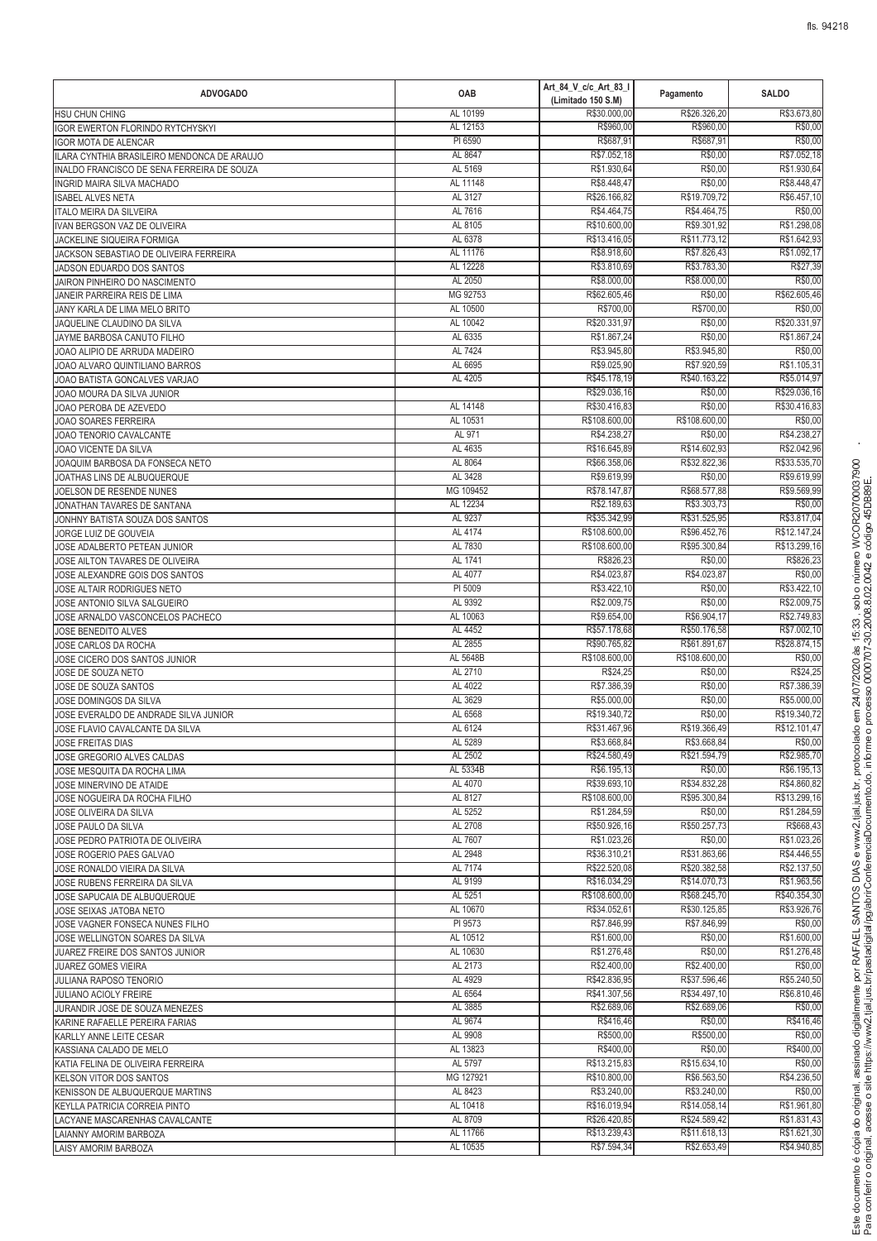| <b>ADVOGADO</b>                                                                           | OAB                  | Art_84_V_c/c_Art_83_I<br>(Limitado 150 S.M) | Pagamento                    | <b>SALDO</b>                 |
|-------------------------------------------------------------------------------------------|----------------------|---------------------------------------------|------------------------------|------------------------------|
| HSU CHUN CHING                                                                            | AL 10199             | R\$30.000,00                                | R\$26.326,20                 | R\$3.673,80                  |
| IGOR EWERTON FLORINDO RYTCHYSKYI                                                          | AL 12153             | R\$960,00                                   | R\$960,00                    | R\$0,00                      |
| <b>IGOR MOTA DE ALENCAR</b>                                                               | PI 6590              | R\$687,91                                   | R\$687,91                    | R\$0,00                      |
| ILARA CYNTHIA BRASILEIRO MENDONCA DE ARAUJO<br>INALDO FRANCISCO DE SENA FERREIRA DE SOUZA | AL 8647<br>AL 5169   | R\$7.052,18<br>R\$1,930.64                  | R\$0,00<br>R\$0,00           | R\$7.052,18<br>R\$1.930.64   |
| INGRID MAIRA SILVA MACHADO                                                                | AL 11148             | R\$8.448,47                                 | R\$0,00                      | R\$8.448,47                  |
| <b>ISABEL ALVES NETA</b>                                                                  | AL 3127              | R\$26.166,82                                | R\$19.709,72                 | R\$6.457,10                  |
| <b>ITALO MEIRA DA SILVEIRA</b>                                                            | AL 7616              | R\$4.464,75                                 | R\$4.464,75                  | R\$0,00                      |
| IVAN BERGSON VAZ DE OLIVEIRA                                                              | AL 8105              | R\$10,600.00                                | R\$9.301,92                  | R\$1,298.08                  |
| JACKELINE SIQUEIRA FORMIGA                                                                | AL 6378              | R\$13.416,05                                | R\$11.773,12                 | R\$1.642,93                  |
| JACKSON SEBASTIAO DE OLIVEIRA FERREIRA                                                    | AL 11176             | R\$8.918,60                                 | R\$7.826,43                  | R\$1.092.17                  |
| JADSON EDUARDO DOS SANTOS                                                                 | AL 12228<br>AL 2050  | R\$3.810,69<br>R\$8.000,00                  | R\$3.783,30<br>R\$8.000,00   | R\$27,39<br>R\$0,00          |
| JAIRON PINHEIRO DO NASCIMENTO<br>JANEIR PARREIRA REIS DE LIMA                             | MG 92753             | R\$62.605,46                                | R\$0,00                      | R\$62.605,46                 |
| JANY KARLA DE LIMA MELO BRITO                                                             | AL 10500             | R\$700,00                                   | R\$700,00                    | R\$0,00                      |
| JAQUELINE CLAUDINO DA SILVA                                                               | AL 10042             | R\$20.331,97                                | R\$0,00                      | R\$20.331,97                 |
| JAYME BARBOSA CANUTO FILHO                                                                | AL 6335              | R\$1.867,24                                 | R\$0,00                      | R\$1.867,24                  |
| JOAO ALIPIO DE ARRUDA MADEIRO                                                             | AL 7424              | R\$3.945,80                                 | R\$3.945,80                  | R\$0,00                      |
| JOAO ALVARO QUINTILIANO BARROS                                                            | AL 6695              | R\$9.025,90                                 | R\$7.920,59                  | R\$1.105,31                  |
| JOAO BATISTA GONCALVES VARJAO                                                             | AL 4205              | R\$45.178,19                                | R\$40.163,22                 | R\$5.014,97                  |
| JOAO MOURA DA SILVA JUNIOR<br>JOAO PEROBA DE AZEVEDO                                      | AL 14148             | R\$29.036,16<br>R\$30.416,83                | R\$0,00<br>R\$0,00           | R\$29.036,16<br>R\$30.416,83 |
| <b>JOAO SOARES FERREIRA</b>                                                               | AL 10531             | R\$108.600,00                               | R\$108.600,00                | R\$0,00                      |
| JOAO TENORIO CAVALCANTE                                                                   | AL 971               | R\$4.238,27                                 | R\$0,00                      | R\$4,238.27                  |
| JOAO VICENTE DA SILVA                                                                     | AL 4635              | R\$16,645.89                                | R\$14,602.93                 | R\$2.042,96                  |
| JOAQUIM BARBOSA DA FONSECA NETO                                                           | AL 8064              | R\$66.358,06                                | R\$32,822.36                 | R\$33.535,70                 |
| JOATHAS LINS DE ALBUQUERQUE                                                               | AL 3428              | R\$9.619,99                                 | R\$0,00                      | R\$9.619,99                  |
| JOELSON DE RESENDE NUNES                                                                  | MG 109452            | R\$78.147,87                                | R\$68.577,88                 | R\$9.569,99                  |
| JONATHAN TAVARES DE SANTANA                                                               | AL 12234             | R\$2.189,63                                 | R\$3.303,73                  | R\$0,00                      |
| JONHNY BATISTA SOUZA DOS SANTOS                                                           | AL 9237              | R\$35.342,99                                | R\$31.525,95                 | R\$3.817,04                  |
| JORGE LUIZ DE GOUVEIA                                                                     | AL 4174<br>AL 7830   | R\$108.600,00<br>R\$108.600,00              | R\$96.452,76<br>R\$95.300,84 | R\$12.147,24<br>R\$13.299,16 |
| JOSE ADALBERTO PETEAN JUNIOR<br>JOSE AILTON TAVARES DE OLIVEIRA                           | AL 1741              | R\$826,23                                   | R\$0,00                      | R\$826,23                    |
| JOSE ALEXANDRE GOIS DOS SANTOS                                                            | AL 4077              | R\$4.023,87                                 | R\$4.023,87                  | R\$0,00                      |
| JOSE ALTAIR RODRIGUES NETO                                                                | PI 5009              | R\$3.422,10                                 | R\$0,00                      | R\$3.422,10                  |
| JOSE ANTONIO SILVA SALGUEIRO                                                              | AL 9392              | R\$2.009,75                                 | R\$0,00                      | R\$2.009,75                  |
| JOSE ARNALDO VASCONCELOS PACHECO                                                          | AL 10063             | R\$9.654,00                                 | R\$6.904,17                  | R\$2.749,83                  |
| <b>JOSE BENEDITO ALVES</b>                                                                | AL 4452              | R\$57.178,68                                | R\$50.176,58                 | R\$7.002,10                  |
| JOSE CARLOS DA ROCHA                                                                      | AL 2855              | R\$90.765,82                                | R\$61.891,67                 | R\$28.874,15                 |
| JOSE CICERO DOS SANTOS JUNIOR                                                             | AL 5648B             | R\$108.600,00                               | R\$108.600,00                | R\$0,00                      |
| JOSE DE SOUZA NETO                                                                        | AL 2710<br>AL 4022   | R\$24,25<br>R\$7.386,39                     | R\$0,00<br>R\$0,00           | R\$24,25<br>R\$7.386,39      |
| JOSE DE SOUZA SANTOS<br>JOSE DOMINGOS DA SILVA                                            | AL 3629              | R\$5.000,00                                 | R\$0,00                      | R\$5.000,00                  |
| JOSE EVERALDO DE ANDRADE SILVA JUNIOR                                                     | AL 6568              | R\$19.340.72                                | R\$0,00                      | R\$19.340,72                 |
| JOSE FLAVIO CAVALCANTE DA SILVA                                                           | AL 6124              | R\$31.467.96                                | R\$19,366.49                 | R\$12.101,47                 |
| JOSE FREITAS DIAS                                                                         | AL 5289              | R\$3.668,84                                 | R\$3.668,84                  | R\$0,00                      |
| JOSE GREGORIO ALVES CALDAS                                                                | AL 2502              | R\$24.580,49                                | R\$21.594.79                 | R\$2.985,70                  |
| JOSE MESQUITA DA ROCHA LIMA                                                               | AL 5334B             | R\$6.195,13                                 | R\$0,00                      | R\$6.195,13                  |
| JOSE MINERVINO DE ATAIDE                                                                  | AL 4070              | R\$39,693.10                                | R\$34,832.28                 | R\$4.860,82                  |
| JOSE NOGUEIRA DA ROCHA FILHO<br>JOSE OLIVEIRA DA SILVA                                    | AL 8127<br>AL 5252   | R\$108.600,00<br>R\$1.284,59                | R\$95.300,84<br>R\$0,00      | R\$13.299,16<br>R\$1.284,59  |
| JOSE PAULO DA SILVA                                                                       | AL 2708              | R\$50.926,16                                | R\$50.257,73                 | R\$668,43                    |
| JOSE PEDRO PATRIOTA DE OLIVEIRA                                                           | AL 7607              | R\$1.023,26                                 | R\$0,00                      | R\$1.023,26                  |
| JOSE ROGERIO PAES GALVAO                                                                  | AL 2948              | R\$36.310,21                                | R\$31.863,66                 | R\$4.446,55                  |
| JOSE RONALDO VIEIRA DA SILVA                                                              | AL 7174              | R\$22.520,08                                | R\$20.382.58                 | R\$2.137.50                  |
| JOSE RUBENS FERREIRA DA SILVA                                                             | AL 9199              | R\$16.034,29                                | R\$14.070,73                 | R\$1,963.56                  |
| JOSE SAPUCAIA DE ALBUQUERQUE                                                              | AL 5251              | R\$108.600,00                               | R\$68.245,70                 | R\$40.354,30                 |
| JOSE SEIXAS JATOBA NETO                                                                   | AL 10670             | R\$34.052,61                                | R\$30.125,85                 | R\$3.926,76                  |
| JOSE VAGNER FONSECA NUNES FILHO                                                           | PI 9573<br>AL 10512  | R\$7,846.99<br>R\$1.600,00                  | R\$7.846,99<br>R\$0,00       | R\$0,00<br>R\$1.600,00       |
| JOSE WELLINGTON SOARES DA SILVA<br>JUAREZ FREIRE DOS SANTOS JUNIOR                        | AL 10630             | R\$1.276,48                                 | R\$0,00                      | R\$1.276,48                  |
| <b>JUAREZ GOMES VIEIRA</b>                                                                | AL 2173              | R\$2.400,00                                 | R\$2.400,00                  | R\$0,00                      |
| JULIANA RAPOSO TENORIO                                                                    | AL 4929              | R\$42.836,95                                | R\$37.596,46                 | R\$5.240,50                  |
| JULIANO ACIOLY FREIRE                                                                     | AL 6564              | R\$41.307,56                                | R\$34.497,10                 | R\$6.810,46                  |
| JURANDIR JOSE DE SOUZA MENEZES                                                            | AL 3885              | R\$2.689,06                                 | R\$2.689,06                  | R\$0,00                      |
| KARINE RAFAELLE PEREIRA FARIAS                                                            | AL 9674              | R\$416,46                                   | R\$0,00                      | R\$416,46                    |
| KARLLY ANNE LEITE CESAR                                                                   | AL 9908              | R\$500,00                                   | R\$500,00                    | R\$0,00                      |
| KASSIANA CALADO DE MELO                                                                   | AL 13823             | R\$400,00                                   | R\$0,00                      | R\$400,00                    |
| KATIA FELINA DE OLIVEIRA FERREIRA                                                         | AL 5797<br>MG 127921 | R\$13.215,83<br>R\$10.800,00                | R\$15.634,10<br>R\$6.563,50  | R\$0,00<br>R\$4.236,50       |
| <b>KELSON VITOR DOS SANTOS</b><br>KENISSON DE ALBUQUERQUE MARTINS                         | AL 8423              | R\$3.240,00                                 | R\$3.240,00                  | R\$0,00                      |
| KEYLLA PATRICIA CORREIA PINTO                                                             | AL 10418             | R\$16.019,94                                | R\$14.058,14                 | R\$1.961,80                  |
| LACYANE MASCARENHAS CAVALCANTE                                                            | AL 8709              | R\$26.420,85                                | R\$24.589,42                 | R\$1.831,43                  |
| LAIANNY AMORIM BARBOZA                                                                    | AL 11766             | R\$13.239,43                                | R\$11.618,13                 | R\$1.621,30                  |
| LAISY AMORIM BARBOZA                                                                      | AL 10535             | R\$7.594,34                                 | R\$2.653,49                  | R\$4.940,85                  |

 $\sim$   $\sim$   $\sim$   $\sim$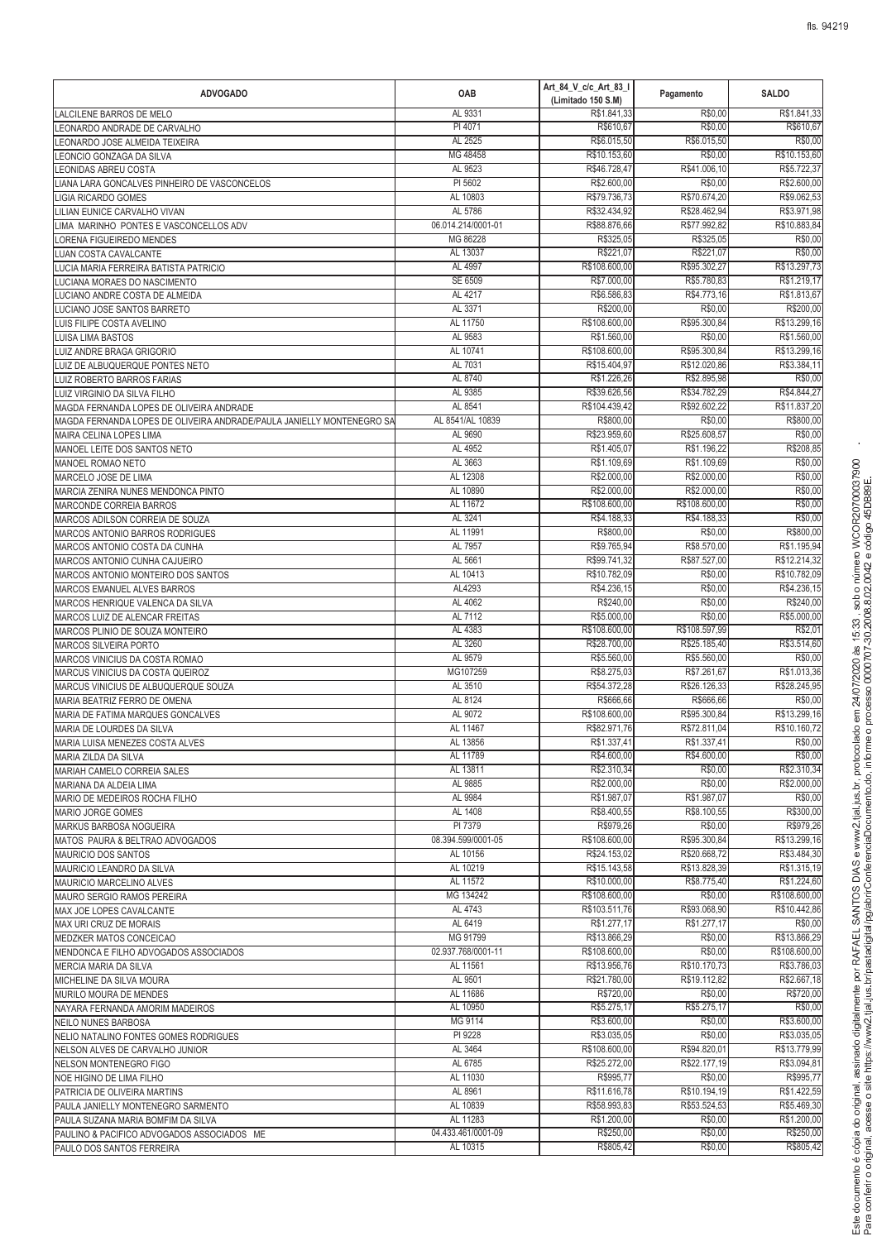| <b>ADVOGADO</b>                                                          | OAB                            | Art_84_V_c/c_Art_83_I<br>(Limitado 150 S.M) | Pagamento                    | <b>SALDO</b>                 |
|--------------------------------------------------------------------------|--------------------------------|---------------------------------------------|------------------------------|------------------------------|
| LALCILENE BARROS DE MELO                                                 | AL 9331                        | R\$1.841,33                                 | R\$0,00                      | R\$1.841,33                  |
| LEONARDO ANDRADE DE CARVALHO                                             | PI 4071                        | R\$610,67                                   | R\$0,00                      | R\$610,67                    |
| EONARDO JOSE ALMEIDA TEIXEIRA                                            | AL 2525                        | R\$6.015,50                                 | R\$6.015,50                  | R\$0,00                      |
| EONCIO GONZAGA DA SILVA                                                  | MG 48458                       | R\$10.153.60                                | R\$0,00                      | R\$10.153,60                 |
| EONIDAS ABREU COSTA                                                      | AL 9523                        | R\$46.728,47<br>R\$2,600.00                 | R\$41.006,10                 | R\$5.722,37                  |
| IANA LARA GONCALVES PINHEIRO DE VASCONCELOS<br>LIGIA RICARDO GOMES       | PI 5602<br>AL 10803            | R\$79.736,73                                | R\$0,00<br>R\$70.674,20      | R\$2.600,00<br>R\$9.062,53   |
| LILIAN EUNICE CARVALHO VIVAN                                             | AL 5786                        | R\$32.434,92                                | R\$28.462,94                 | R\$3.971,98                  |
| LIMA MARINHO PONTES E VASCONCELLOS ADV                                   | 06.014.214/0001-01             | R\$88,876.66                                | R\$77.992,82                 | R\$10.883,84                 |
| ORENA FIGUEIREDO MENDES                                                  | MG 86228                       | R\$325,05                                   | R\$325,05                    | R\$0,00                      |
| <b>UAN COSTA CAVALCANTE</b>                                              | AL 13037                       | R\$221,07                                   | R\$221,07                    | R\$0,00                      |
| <b>UCIA MARIA FERREIRA BATISTA PATRICIO</b>                              | AL 4997                        | R\$108.600,00                               | R\$95,302.27                 | R\$13.297,73                 |
| LUCIANA MORAES DO NASCIMENTO                                             | SE 6509                        | R\$7.000,00                                 | R\$5.780,83                  | R\$1.219,17                  |
| LUCIANO ANDRE COSTA DE ALMEIDA                                           | AL 4217                        | R\$6.586,83                                 | R\$4.773,16                  | R\$1.813,67                  |
| LUCIANO JOSE SANTOS BARRETO                                              | AL 3371                        | R\$200,00                                   | R\$0,00                      | R\$200,00                    |
| LUIS FILIPE COSTA AVELINO                                                | AL 11750                       | R\$108.600,00                               | R\$95.300,84                 | R\$13.299,16                 |
| <b>LUISA LIMA BASTOS</b><br>LUIZ ANDRE BRAGA GRIGORIO                    | AL 9583<br>AL 10741            | R\$1.560,00<br>R\$108.600,00                | R\$0,00<br>R\$95.300,84      | R\$1.560,00<br>R\$13.299,16  |
| LUIZ DE ALBUQUERQUE PONTES NETO                                          | AL 7031                        | R\$15.404,97                                | R\$12.020,86                 | R\$3.384,11                  |
| LUIZ ROBERTO BARROS FARIAS                                               | AL 8740                        | R\$1.226,26                                 | R\$2.895,98                  | R\$0,00                      |
| LUIZ VIRGINIO DA SILVA FILHO                                             | AL 9385                        | R\$39.626,56                                | R\$34.782,29                 | R\$4.844,27                  |
| MAGDA FERNANDA LOPES DE OLIVEIRA ANDRADE                                 | AL 8541                        | R\$104.439,42                               | R\$92.602,22                 | R\$11.837,20                 |
| MAGDA FERNANDA LOPES DE OLIVEIRA ANDRADE/PAULA JANIELLY MONTENEGRO SA    | AL 8541/AL 10839               | R\$800,00                                   | R\$0,00                      | R\$800,00                    |
| MAIRA CELINA LOPES LIMA                                                  | AL 9690                        | R\$23.959,60                                | R\$25.608,57                 | R\$0,00                      |
| MANOEL LEITE DOS SANTOS NETO                                             | AL 4952                        | R\$1.405,07                                 | R\$1.196,22                  | R\$208,85                    |
| MANOEL ROMAO NETO                                                        | AL 3663                        | R\$1.109,69                                 | R\$1.109,69                  | R\$0,00                      |
| MARCELO JOSE DE LIMA                                                     | AL 12308                       | R\$2,000.00                                 | R\$2.000,00                  | R\$0,00                      |
| MARCIA ZENIRA NUNES MENDONCA PINTO                                       | AL 10890                       | R\$2.000,00<br>R\$108.600,00                | R\$2.000,00<br>R\$108.600,00 | R\$0,00                      |
| MARCONDE CORREIA BARROS<br>MARCOS ADILSON CORREIA DE SOUZA               | AL 11672<br>AL 3241            | R\$4.188,33                                 | R\$4.188,33                  | R\$0,00<br>R\$0,00           |
| MARCOS ANTONIO BARROS RODRIGUES                                          | AL 11991                       | R\$800,00                                   | R\$0,00                      | R\$800,00                    |
| MARCOS ANTONIO COSTA DA CUNHA                                            | AL 7957                        | R\$9.765,94                                 | R\$8.570,00                  | R\$1.195,94                  |
| MARCOS ANTONIO CUNHA CAJUEIRO                                            | AL 5661                        | R\$99.741,32                                | R\$87.527,00                 | R\$12.214,32                 |
| MARCOS ANTONIO MONTEIRO DOS SANTOS                                       | AL 10413                       | R\$10.782,09                                | R\$0,00                      | R\$10.782,09                 |
| MARCOS EMANUEL ALVES BARROS                                              | AL4293                         | R\$4.236,15                                 | R\$0,00                      | R\$4.236,15                  |
| MARCOS HENRIQUE VALENCA DA SILVA                                         | AL 4062                        | R\$240,00                                   | R\$0,00                      | R\$240,00                    |
| MARCOS LUIZ DE ALENCAR FREITAS                                           | AL 7112                        | R\$5.000,00                                 | R\$0,00                      | R\$5.000,00                  |
| MARCOS PLINIO DE SOUZA MONTEIRO                                          | AL 4383                        | R\$108.600,00                               | R\$108.597,99                | R\$2,01                      |
| <b>MARCOS SILVEIRA PORTO</b>                                             | AL 3260<br>AL 9579             | R\$28.700,00<br>R\$5.560,00                 | R\$25.185,40<br>R\$5.560,00  | R\$3.514,60<br>R\$0,00       |
| MARCOS VINICIUS DA COSTA ROMAO<br>MARCUS VINICIUS DA COSTA QUEIROZ       | MG107259                       | R\$8.275,03                                 | R\$7.261,67                  | R\$1.013,36                  |
| MARCUS VINICIUS DE ALBUQUERQUE SOUZA                                     | AL 3510                        | R\$54.372,28                                | R\$26.126,33                 | R\$28.245,95                 |
| MARIA BEATRIZ FERRO DE OMENA                                             | AL 8124                        | R\$666.66                                   | R\$666.66                    | R\$0,00                      |
| MARIA DE FATIMA MARQUES GONCALVES                                        | AL 9072                        | R\$108.600,00                               | R\$95.300,84                 | R\$13.299,16                 |
| MARIA DE LOURDES DA SILVA                                                | AL 11467                       | R\$82.971,76                                | R\$72.811,04                 | R\$10.160.72                 |
| MARIA LUISA MENEZES COSTA ALVES                                          | AL 13856                       | R\$1.337,41                                 | R\$1.337,41                  | R\$0,00                      |
| MARIA ZILDA DA SILVA                                                     | AL 11789                       | R\$4.600,00                                 | R\$4.600,00                  | R\$0,00                      |
| MARIAH CAMELO CORREIA SALES                                              | AL 13811                       | R\$2.310,34                                 | R\$0,00                      | R\$2.310,34                  |
| MARIANA DA ALDEIA LIMA                                                   | AL 9885                        | R\$2.000,00                                 | R\$0,00<br>R\$1,987.07       | R\$2.000,00                  |
| MARIO DE MEDEIROS ROCHA FILHO                                            | AL 9984<br>AL 1408             | R\$1.987,07<br>R\$8.400,55                  | R\$8.100.55                  | R\$0,00                      |
| MARIO JORGE GOMES<br>MARKUS BARBOSA NOGUEIRA                             | PI 7379                        | R\$979,26                                   | R\$0,00                      | R\$300,00<br>R\$979,26       |
| MATOS PAURA & BELTRAO ADVOGADOS                                          | 08.394.599/0001-05             | R\$108.600,00                               | R\$95.300,84                 | R\$13.299,16                 |
| <b>MAURICIO DOS SANTOS</b>                                               | AL 10156                       | R\$24.153.02                                | R\$20.668,72                 | R\$3.484,30                  |
| MAURICIO LEANDRO DA SILVA                                                | AL 10219                       | R\$15.143,58                                | R\$13.828.39                 | R\$1.315,19                  |
| MAURICIO MARCELINO ALVES                                                 | AL 11572                       | R\$10.000,00                                | R\$8.775,40                  | R\$1.224,60                  |
| MAURO SERGIO RAMOS PEREIRA                                               | MG 134242                      | R\$108.600,00                               | R\$0,00                      | R\$108.600,00                |
| MAX JOE LOPES CAVALCANTE                                                 | AL 4743                        | R\$103.511,76                               | R\$93.068,90                 | R\$10.442,86                 |
| MAX URI CRUZ DE MORAIS                                                   | AL 6419                        | R\$1.277,17                                 | R\$1.277,17                  | R\$0,00                      |
| MEDZKER MATOS CONCEICAO                                                  | MG 91799                       | R\$13.866,29<br>R\$108.600,00               | R\$0,00<br>R\$0,00           | R\$13.866,29                 |
| MENDONCA E FILHO ADVOGADOS ASSOCIADOS<br>MERCIA MARIA DA SILVA           | 02.937.768/0001-11<br>AL 11561 | R\$13.956,76                                | R\$10.170,73                 | R\$108.600,00<br>R\$3.786,03 |
| MICHELINE DA SILVA MOURA                                                 | AL 9501                        | R\$21.780,00                                | R\$19.112,82                 | R\$2.667,18                  |
| MURILO MOURA DE MENDES                                                   | AL 11686                       | R\$720,00                                   | R\$0,00                      | R\$720,00                    |
| NAYARA FERNANDA AMORIM MADEIROS                                          | AL 10950                       | R\$5.275,17                                 | R\$5.275,17                  | R\$0,00                      |
| NEILO NUNES BARBOSA                                                      | MG 9114                        | R\$3.600,00                                 | R\$0,00                      | R\$3.600,00                  |
| NELIO NATALINO FONTES GOMES RODRIGUES                                    | PI 9228                        | R\$3.035,05                                 | R\$0,00                      | R\$3.035,05                  |
| NELSON ALVES DE CARVALHO JUNIOR                                          | AL 3464                        | R\$108.600,00                               | R\$94.820,01                 | R\$13.779,99                 |
| NELSON MONTENEGRO FIGO                                                   | AL 6785                        | R\$25.272,00                                | R\$22.177,19                 | R\$3.094,81                  |
| NOE HIGINO DE LIMA FILHO                                                 | AL 11030                       | R\$995,77                                   | R\$0,00                      | R\$995,77                    |
| PATRICIA DE OLIVEIRA MARTINS                                             | AL 8961                        | R\$11.616,78                                | R\$10.194,19                 | R\$1.422,59                  |
| PAULA JANIELLY MONTENEGRO SARMENTO<br>PAULA SUZANA MARIA BOMFIM DA SILVA | AL 10839<br>AL 11283           | R\$58.993,83<br>R\$1.200,00                 | R\$53.524,53<br>R\$0,00      | R\$5.469,30<br>R\$1.200,00   |
| PAULINO & PACIFICO ADVOGADOS ASSOCIADOS ME                               | 04.433.461/0001-09             | R\$250,00                                   | R\$0,00                      | R\$250,00                    |
| PAULO DOS SANTOS FERREIRA                                                | AL 10315                       | R\$805,42                                   | R\$0,00                      | R\$805,42                    |
|                                                                          |                                |                                             |                              |                              |

<sup>R</sup>

> ? @

<sup>d</sup> <sup>J</sup> <sup>K</sup> <sup>E</sup>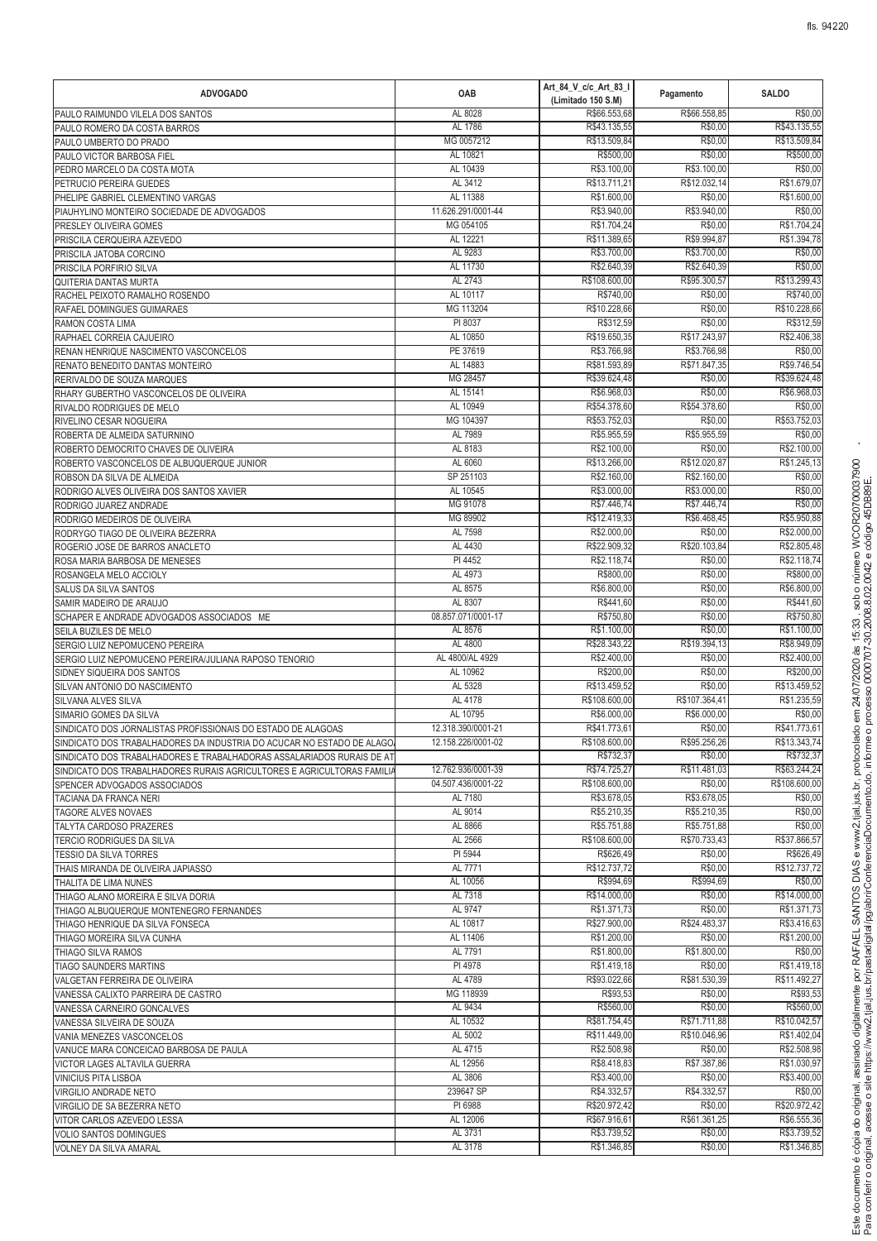| <b>ADVOGADO</b>                                                             | OAB                    | Art_84_V_c/c_Art_83_I<br>(Limitado 150 S.M) | Pagamento                  | <b>SALDO</b>               |
|-----------------------------------------------------------------------------|------------------------|---------------------------------------------|----------------------------|----------------------------|
| PAULO RAIMUNDO VILELA DOS SANTOS                                            | AL 8028                | R\$66.553,68                                | R\$66,558.85               | R\$0,00                    |
| PAULO ROMERO DA COSTA BARROS                                                | AL 1786                | R\$43.135,55                                | R\$0,00                    | R\$43.135,55               |
| PAULO UMBERTO DO PRADO                                                      | MG 0057212<br>AL 10821 | R\$13.509,84<br>R\$500,00                   | R\$0,00<br>R\$0,00         | R\$13.509,84<br>R\$500,00  |
| PAULO VICTOR BARBOSA FIEL<br>PEDRO MARCELO DA COSTA MOTA                    | AL 10439               | R\$3.100,00                                 | R\$3.100,00                | R\$0,00                    |
| PETRUCIO PEREIRA GUEDES                                                     | AL 3412                | R\$13.711,2                                 | R\$12.032,14               | R\$1.679,07                |
| PHELIPE GABRIEL CLEMENTINO VARGAS                                           | AL 11388               | R\$1.600,00                                 | R\$0,00                    | R\$1.600,00                |
| PIAUHYLINO MONTEIRO SOCIEDADE DE ADVOGADOS                                  | 11.626.291/0001-44     | R\$3.940,00                                 | R\$3.940,00                | R\$0,00                    |
| PRESLEY OLIVEIRA GOMES                                                      | MG 054105              | R\$1.704.24                                 | R\$0,00                    | R\$1.704,24                |
| PRISCILA CERQUEIRA AZEVEDO                                                  | AL 12221               | R\$11.389,65                                | R\$9,994.87                | R\$1.394,78                |
| PRISCILA JATOBA CORCINO                                                     | AL 9283                | R\$3.700,00                                 | R\$3.700,00                | R\$0,00                    |
| PRISCILA PORFIRIO SILVA                                                     | AL 11730               | R\$2.640,39                                 | R\$2.640,39                | R\$0,00                    |
| QUITERIA DANTAS MURTA                                                       | AL 2743<br>AL 10117    | R\$108.600,00<br>R\$740,00                  | R\$95.300,57<br>R\$0,00    | R\$13.299,43<br>R\$740,00  |
| RACHEL PEIXOTO RAMALHO ROSENDO<br>RAFAEL DOMINGUES GUIMARAES                | MG 113204              | R\$10.228,66                                | R\$0,00                    | R\$10.228,66               |
| RAMON COSTA LIMA                                                            | PI 8037                | R\$312,59                                   | R\$0,00                    | R\$312,59                  |
| RAPHAEL CORREIA CAJUEIRO                                                    | AL 10850               | R\$19.650,35                                | R\$17.243,97               | R\$2.406,38                |
| RENAN HENRIQUE NASCIMENTO VASCONCELOS                                       | PE 37619               | R\$3.766,98                                 | R\$3.766,98                | R\$0,00                    |
| RENATO BENEDITO DANTAS MONTEIRO                                             | AL 14883               | R\$81.593,89                                | R\$71.847,35               | R\$9.746,54                |
| RERIVALDO DE SOUZA MARQUES                                                  | MG 28457               | R\$39.624,48                                | R\$0,00                    | R\$39.624,48               |
| RHARY GUBERTHO VASCONCELOS DE OLIVEIRA                                      | AL 15141               | R\$6.968,03                                 | R\$0,00                    | R\$6.968,03                |
| RIVALDO RODRIGUES DE MELO                                                   | AL 10949               | R\$54.378,60<br>R\$53,752.03                | R\$54.378,60               | R\$0,00                    |
| RIVELINO CESAR NOGUEIRA<br>ROBERTA DE ALMEIDA SATURNINO                     | MG 104397<br>AL 7989   | R\$5.955,59                                 | R\$0,00<br>R\$5.955,59     | R\$53.752,03<br>R\$0,00    |
| ROBERTO DEMOCRITO CHAVES DE OLIVEIRA                                        | AL 8183                | R\$2.100,00                                 | R\$0,00                    | R\$2.100,00                |
| ROBERTO VASCONCELOS DE ALBUQUERQUE JUNIOR                                   | AL 6060                | R\$13.266,00                                | R\$12.020,87               | R\$1.245,13                |
| ROBSON DA SILVA DE ALMEIDA                                                  | SP 251103              | R\$2.160,00                                 | R\$2.160,00                | R\$0,00                    |
| RODRIGO ALVES OLIVEIRA DOS SANTOS XAVIER                                    | AL 10545               | R\$3.000,00                                 | R\$3.000,00                | R\$0,00                    |
| RODRIGO JUAREZ ANDRADE                                                      | MG 91078               | R\$7.446,74                                 | R\$7.446,74                | R\$0,00                    |
| RODRIGO MEDEIROS DE OLIVEIRA                                                | MG 89902               | R\$12.419,33                                | R\$6.468,45                | R\$5.950,88                |
| RODRYGO TIAGO DE OLIVEIRA BEZERRA                                           | AL 7598                | R\$2.000,00                                 | R\$0,00                    | R\$2.000,00                |
| ROGERIO JOSE DE BARROS ANACLETO<br>ROSA MARIA BARBOSA DE MENESES            | AL 4430<br>PI 4452     | R\$22.909,32<br>R\$2.118,74                 | R\$20.103,84<br>R\$0,00    | R\$2.805,48<br>R\$2.118,74 |
| ROSANGELA MELO ACCIOLY                                                      | AL 4973                | R\$800,00                                   | R\$0,00                    | R\$800,00                  |
| SALUS DA SILVA SANTOS                                                       | AL 8575                | R\$6.800,00                                 | R\$0,00                    | R\$6.800,00                |
| SAMIR MADEIRO DE ARAUJO                                                     | AL 8307                | R\$441,60                                   | R\$0,00                    | R\$441,60                  |
| SCHAPER E ANDRADE ADVOGADOS ASSOCIADOS ME                                   | 08.857.071/0001-17     | R\$750,80                                   | R\$0,00                    | R\$750,80                  |
| SEILA BUZILES DE MELO                                                       | AL 8576                | R\$1.100,00                                 | R\$0,00                    | R\$1.100,00                |
| SERGIO LUIZ NEPOMUCENO PEREIRA                                              | AL 4800                | R\$28.343,22                                | R\$19.394,13               | R\$8,949.09                |
| SERGIO LUIZ NEPOMUCENO PEREIRA/JULIANA RAPOSO TENORIO                       | AL 4800/AL 4929        | R\$2.400,00                                 | R\$0,00                    | R\$2.400,00                |
| SIDNEY SIQUEIRA DOS SANTOS                                                  | AL 10962<br>AL 5328    | R\$200,00<br>R\$13.459,52                   | R\$0,00<br>R\$0,00         | R\$200,00<br>R\$13.459,52  |
| SILVAN ANTONIO DO NASCIMENTO<br>SILVANA ALVES SILVA                         | AL 4178                | R\$108.600,00                               | R\$107.364,41              | R\$1.235,59                |
| SIMARIO GOMES DA SILVA                                                      | AL 10795               | R\$6,000.00                                 | R\$6.000,00                | R\$0,00                    |
| SINDICATO DOS JORNALISTAS PROFISSIONAIS DO ESTADO DE ALAGOAS                | 12.318.390/0001-21     | R\$41,773.61                                | R\$0,00                    | R\$41.773,61               |
| SINDICATO DOS TRABALHADORES DA INDUSTRIA DO ACUCAR NO ESTADO DE ALAGO.      | 12.158.226/0001-02     | R\$108.600,00                               | R\$95.256,26               | R\$13.343,74               |
| SINDICATO DOS TRABALHADORES E TRABALHADORAS ASSALARIADOS RURAIS DE AT       |                        | R\$732,37                                   | R\$0,00                    | R\$732,37                  |
| SINDICATO DOS TRABALHADORES RURAIS AGRICULTORES E AGRICULTORAS FAMILIA      | 12.762.936/0001-39     | R\$74.725,27                                | R\$11.481,03               | R\$63.244,24               |
| SPENCER ADVOGADOS ASSOCIADOS                                                | 04.507.436/0001-22     | R\$108.600,00                               | R\$0,00                    | R\$108.600,00              |
| TACIANA DA FRANCA NERI<br><b>TAGORE ALVES NOVAES</b>                        | AL 7180<br>AL 9014     | R\$3.678,05<br>R\$5.210.35                  | R\$3.678,05<br>R\$5.210,35 | R\$0,00<br>R\$0.00         |
| TALYTA CARDOSO PRAZERES                                                     | AL 8866                | R\$5.751,88                                 | R\$5.751,88                | R\$0,00                    |
| TERCIO RODRIGUES DA SILVA                                                   | AL 2566                | R\$108.600,00                               | R\$70.733.43               | R\$37,866.57               |
| <b>TESSIO DA SILVA TORRES</b>                                               | PI 5944                | R\$626,49                                   | R\$0,00                    | R\$626.49                  |
| THAIS MIRANDA DE OLIVEIRA JAPIASSO                                          | AL 7771                | R\$12.737,72                                | R\$0,00                    | R\$12.737,72               |
| THALITA DE LIMA NUNES                                                       | AL 10056               | R\$994,69                                   | R\$994,69                  | R\$0,00                    |
| THIAGO ALANO MOREIRA E SILVA DORIA                                          | AL 7318                | R\$14.000,00                                | R\$0,00                    | R\$14.000,00               |
| THIAGO ALBUQUERQUE MONTENEGRO FERNANDES<br>THIAGO HENRIQUE DA SILVA FONSECA | AL 9747<br>AL 10817    | R\$1.371,73<br>R\$27.900,00                 | R\$0,00<br>R\$24.483,37    | R\$1.371,73<br>R\$3.416,63 |
| THIAGO MOREIRA SILVA CUNHA                                                  | AL 11406               | R\$1.200,00                                 | R\$0,00                    | R\$1.200,00                |
| THIAGO SILVA RAMOS                                                          | AL 7791                | R\$1.800,00                                 | R\$1.800,00                | R\$0,00                    |
| TIAGO SAUNDERS MARTINS                                                      | PI 4978                | R\$1.419,18                                 | R\$0,00                    | R\$1.419,18                |
| VALGETAN FERREIRA DE OLIVEIRA                                               | AL 4789                | R\$93.022,66                                | R\$81.530,39               | R\$11.492,27               |
| VANESSA CALIXTO PARREIRA DE CASTRO                                          | MG 118939              | R\$93,53                                    | R\$0,00                    | R\$93,53                   |
| VANESSA CARNEIRO GONCALVES                                                  | AL 9434                | R\$560,00                                   | R\$0,00                    | R\$560,00                  |
| VANESSA SILVEIRA DE SOUZA                                                   | AL 10532               | R\$81.754,45                                | R\$71.711,88               | R\$10.042,57               |
| VANIA MENEZES VASCONCELOS<br>VANUCE MARA CONCEICAO BARBOSA DE PAULA         | AL 5002<br>AL 4715     | R\$11.449,00<br>R\$2.508,98                 | R\$10.046,96<br>R\$0,00    | R\$1.402,04<br>R\$2.508,98 |
| VICTOR LAGES ALTAVILA GUERRA                                                | AL 12956               | R\$8.418,83                                 | R\$7.387,86                | R\$1.030,97                |
| <b>VINICIUS PITA LISBOA</b>                                                 | AL 3806                | R\$3.400,00                                 | R\$0,00                    | R\$3.400,00                |
| VIRGILIO ANDRADE NETO                                                       | 239647 SP              | R\$4.332,57                                 | R\$4.332,57                | R\$0,00                    |
| VIRGILIO DE SA BEZERRA NETO                                                 | PI 6988                | R\$20.972,42                                | R\$0,00                    | R\$20.972,42               |
| VITOR CARLOS AZEVEDO LESSA                                                  | AL 12006               | R\$67.916,61                                | R\$61.361,25               | R\$6.555,36                |
| <b>VOLIO SANTOS DOMINGUES</b>                                               | AL 3731                | R\$3.739,52                                 | R\$0,00                    | R\$3.739,52                |
| VOLNEY DA SILVA AMARAL                                                      | AL 3178                | R\$1.346,85                                 | R\$0,00                    | R\$1.346,85                |

<sup>R</sup>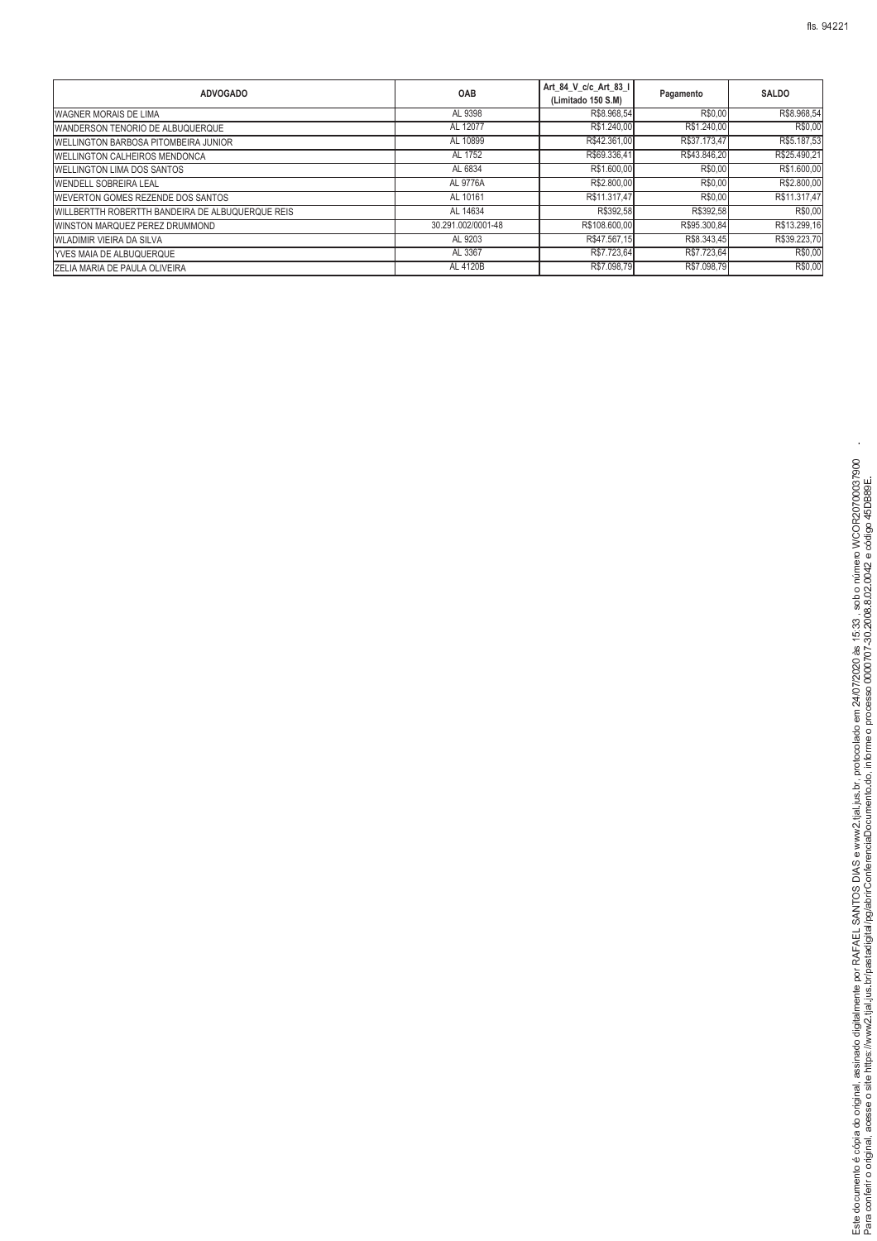| <b>ADVOGADO</b>                                  | OAB                | Art 84 V c/c Art 83 I<br>(Limitado 150 S.M) | Pagamento    | <b>SALDO</b> |
|--------------------------------------------------|--------------------|---------------------------------------------|--------------|--------------|
| <b>WAGNER MORAIS DE LIMA</b>                     | AL 9398            | R\$8.968,54                                 | R\$0,00      | R\$8.968,54  |
| WANDERSON TENORIO DE ALBUQUERQUE                 | AL 12077           | R\$1.240.00                                 | R\$1.240,00  | R\$0,00      |
| WELLINGTON BARBOSA PITOMBEIRA JUNIOR             | AL 10899           | R\$42.361,00                                | R\$37,173,47 | R\$5.187,53  |
| <b>WELLINGTON CALHEIROS MENDONCA</b>             | AL 1752            | R\$69.336,41                                | R\$43.846,20 | R\$25.490,21 |
| WELLINGTON LIMA DOS SANTOS                       | AL 6834            | R\$1.600,00                                 | R\$0.00      | R\$1.600,00  |
| <b>WENDELL SOBREIRA LEAL</b>                     | AL 9776A           | R\$2.800,00                                 | R\$0.00      | R\$2.800,00  |
| WEVERTON GOMES REZENDE DOS SANTOS                | AL 10161           | R\$11,317,47                                | R\$0.00      | R\$11.317,47 |
| WILLBERTTH ROBERTTH BANDEIRA DE ALBUQUERQUE REIS | AL 14634           | R\$392,58                                   | R\$392,58    | R\$0,00      |
| WINSTON MARQUEZ PEREZ DRUMMOND                   | 30.291.002/0001-48 | R\$108.600,00                               | R\$95,300.84 | R\$13.299,16 |
| <b>WLADIMIR VIEIRA DA SILVA</b>                  | AL 9203            | R\$47.567.15                                | R\$8,343.45  | R\$39.223,70 |

WLADIMIR VIEIRA DA SILVA AL 9203 R\$47.567,15 R\$8.343,45 R\$39.223,70 YVES MAIA DE ALBUQUERQUE AL 3367 R\$7.723,64 R\$7.723,64 R\$0,00

ZELIA MARIA DE PAULA OLIVEIRA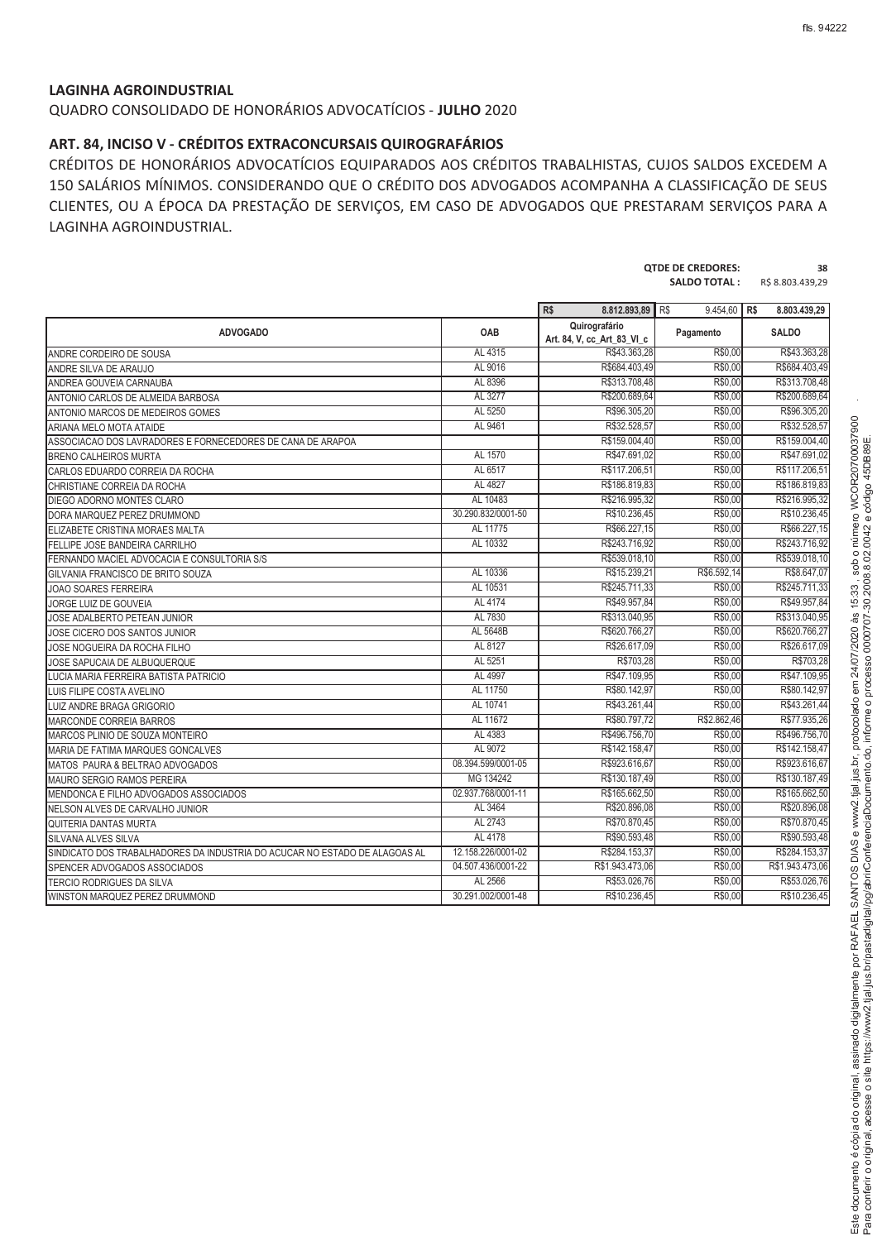### **LAGINHA AGROINDUSTRIAL**

QUADRO CONSOLIDADO DE HONORÁRIOS ADVOCATÍCIOS - **JULHO** 2020

### **ART. 84, INCISO V - CRÉDITOS EXTRACONCURSAIS QUIROGRAFÁRIOS**

CRÉDITOS DE HONORÁRIOS ADVOCATÍCIOS EQUIPARADOS AOS CRÉDITOS TRABALHISTAS, CUJOS SALDOS EXCEDEM A 150 SALÁRIOS MÍNIMOS. CONSIDERANDO QUE O CRÉDITO DOS ADVOGADOS ACOMPANHA A CLASSIFICAÇÃO DE SEUS CLIENTES, OU A ÉPOCA DA PRESTAÇÃO DE SERVIÇOS, EM CASO DE ADVOGADOS QUE PRESTARAM SERVIÇOS PARA A LAGINHA AGROINDUSTRIAL.

|                                                                            |                    | <b>QTDE DE CREDORES:</b>                    | 38<br>R\$ 8.803.439,29 |                 |
|----------------------------------------------------------------------------|--------------------|---------------------------------------------|------------------------|-----------------|
|                                                                            |                    | R\$<br>8.812.893.89                         | R\$<br>9.454.60 R\$    | 8.803.439,29    |
| <b>ADVOGADO</b>                                                            | <b>OAB</b>         | Quirografário<br>Art. 84, V, cc_Art_83_VI_c | Pagamento              | <b>SALDO</b>    |
| ANDRE CORDEIRO DE SOUSA                                                    | AL 4315            | R\$43.363,28                                | R\$0,00                | R\$43.363,28    |
| ANDRE SILVA DE ARAUJO                                                      | AL 9016            | R\$684.403.49                               | R\$0.00                | R\$684.403.49   |
| ANDREA GOUVEIA CARNAUBA                                                    | AL 8396            | R\$313.708,48                               | R\$0,00                | R\$313.708,48   |
| ANTONIO CARLOS DE ALMEIDA BARBOSA                                          | AL 3277            | R\$200.689,64                               | R\$0,00                | R\$200.689,64   |
| ANTONIO MARCOS DE MEDEIROS GOMES                                           | AL 5250            | R\$96.305,20                                | R\$0,00                | R\$96.305,20    |
| ARIANA MELO MOTA ATAIDE                                                    | AL 9461            | R\$32.528,57                                | R\$0,00                | R\$32.528,57    |
| ASSOCIACAO DOS LAVRADORES E FORNECEDORES DE CANA DE ARAPOA                 |                    | R\$159.004,40                               | R\$0.00                | R\$159.004,40   |
| <b>BRENO CALHEIROS MURTA</b>                                               | AL 1570            | R\$47.691,02                                | R\$0,00                | R\$47.691,02    |
| CARLOS EDUARDO CORREIA DA ROCHA                                            | AL 6517            | R\$117.206,51                               | R\$0.00                | R\$117.206,51   |
| CHRISTIANE CORREIA DA ROCHA                                                | AL 4827            | R\$186.819,83                               | R\$0,00                | R\$186.819,83   |
| DIEGO ADORNO MONTES CLARO                                                  | AL 10483           | R\$216.995,32                               | R\$0.00                | R\$216.995,32   |
| DORA MARQUEZ PEREZ DRUMMOND                                                | 30.290.832/0001-50 | R\$10.236,45                                | R\$0.00                | R\$10.236.45    |
| ELIZABETE CRISTINA MORAES MALTA                                            | AL 11775           | R\$66.227,15                                | R\$0,00                | R\$66.227,15    |
| FELLIPE JOSE BANDEIRA CARRILHO                                             | AL 10332           | R\$243.716,92                               | R\$0,00                | R\$243.716,92   |
| FERNANDO MACIEL ADVOCACIA E CONSULTORIA S/S                                |                    | R\$539.018,10                               | R\$0,00                | R\$539.018,10   |
| GILVANIA FRANCISCO DE BRITO SOUZA                                          | AL 10336           | R\$15,239.21                                | R\$6,592.14            | R\$8,647.07     |
| <b>JOAO SOARES FERREIRA</b>                                                | AL 10531           | R\$245.711,33                               | R\$0.00                | R\$245.711.33   |
| JORGE LUIZ DE GOUVEIA                                                      | AL 4174            | R\$49.957,84                                | R\$0,00                | R\$49.957,84    |
| JOSE ADALBERTO PETEAN JUNIOR                                               | AL 7830            | R\$313.040,95                               | R\$0.00                | R\$313,040.95   |
| JOSE CICERO DOS SANTOS JUNIOR                                              | AL 5648B           | R\$620.766,27                               | R\$0,00                | R\$620.766.27   |
| JOSE NOGUEIRA DA ROCHA FILHO                                               | AL 8127            | R\$26.617,09                                | R\$0,00                | R\$26.617,09    |
| JOSE SAPUCAIA DE ALBUQUERQUE                                               | AL 5251            | R\$703.28                                   | R\$0.00                | R\$703.28       |
| LUCIA MARIA FERREIRA BATISTA PATRICIO                                      | AL 4997            | R\$47.109,95                                | R\$0,00                | R\$47.109,95    |
| LUIS FILIPE COSTA AVELINO                                                  | AL 11750           | R\$80.142,97                                | R\$0,00                | R\$80.142,97    |
| <b>LUIZ ANDRE BRAGA GRIGORIO</b>                                           | AL 10741           | R\$43.261,44                                | R\$0,00                | R\$43.261,44    |
| <b>MARCONDE CORREIA BARROS</b>                                             | AL 11672           | R\$80.797,72                                | R\$2,862.46            | R\$77,935.26    |
| MARCOS PLINIO DE SOUZA MONTEIRO                                            | AL 4383            | R\$496.756.70                               | R\$0.00                | R\$496.756.70   |
| MARIA DE FATIMA MARQUES GONCALVES                                          | AL 9072            | R\$142.158,47                               | R\$0,00                | R\$142.158,47   |
| MATOS PAURA & BELTRAO ADVOGADOS                                            | 08.394.599/0001-05 | R\$923.616,67                               | R\$0,00                | R\$923.616,67   |
| MAURO SERGIO RAMOS PEREIRA                                                 | MG 134242          | R\$130.187,49                               | R\$0,00                | R\$130.187,49   |
| MENDONCA E FILHO ADVOGADOS ASSOCIADOS                                      | 02.937.768/0001-11 | R\$165.662,50                               | R\$0.00                | R\$165,662.50   |
| NELSON ALVES DE CARVALHO JUNIOR                                            | AL 3464            | R\$20.896,08                                | R\$0.00                | R\$20.896,08    |
| QUITERIA DANTAS MURTA                                                      | AL 2743            | R\$70.870,45                                | R\$0,00                | R\$70.870,45    |
| SILVANA ALVES SILVA                                                        | AL 4178            | R\$90.593,48                                | R\$0,00                | R\$90.593,48    |
| SINDICATO DOS TRABALHADORES DA INDUSTRIA DO ACUCAR NO ESTADO DE ALAGOAS AL | 12.158.226/0001-02 | R\$284.153,37                               | R\$0,00                | R\$284.153,37   |
| SPENCER ADVOGADOS ASSOCIADOS                                               | 04.507.436/0001-22 | R\$1.943.473,06                             | R\$0.00                | R\$1,943,473.06 |
| <b>TERCIO RODRIGUES DA SILVA</b>                                           | AL 2566            | R\$53.026.76                                | R\$0.00                | R\$53,026.76    |
| WINSTON MARQUEZ PEREZ DRUMMOND                                             | 30.291.002/0001-48 | R\$10.236,45                                | R\$0,00                | R\$10.236,45    |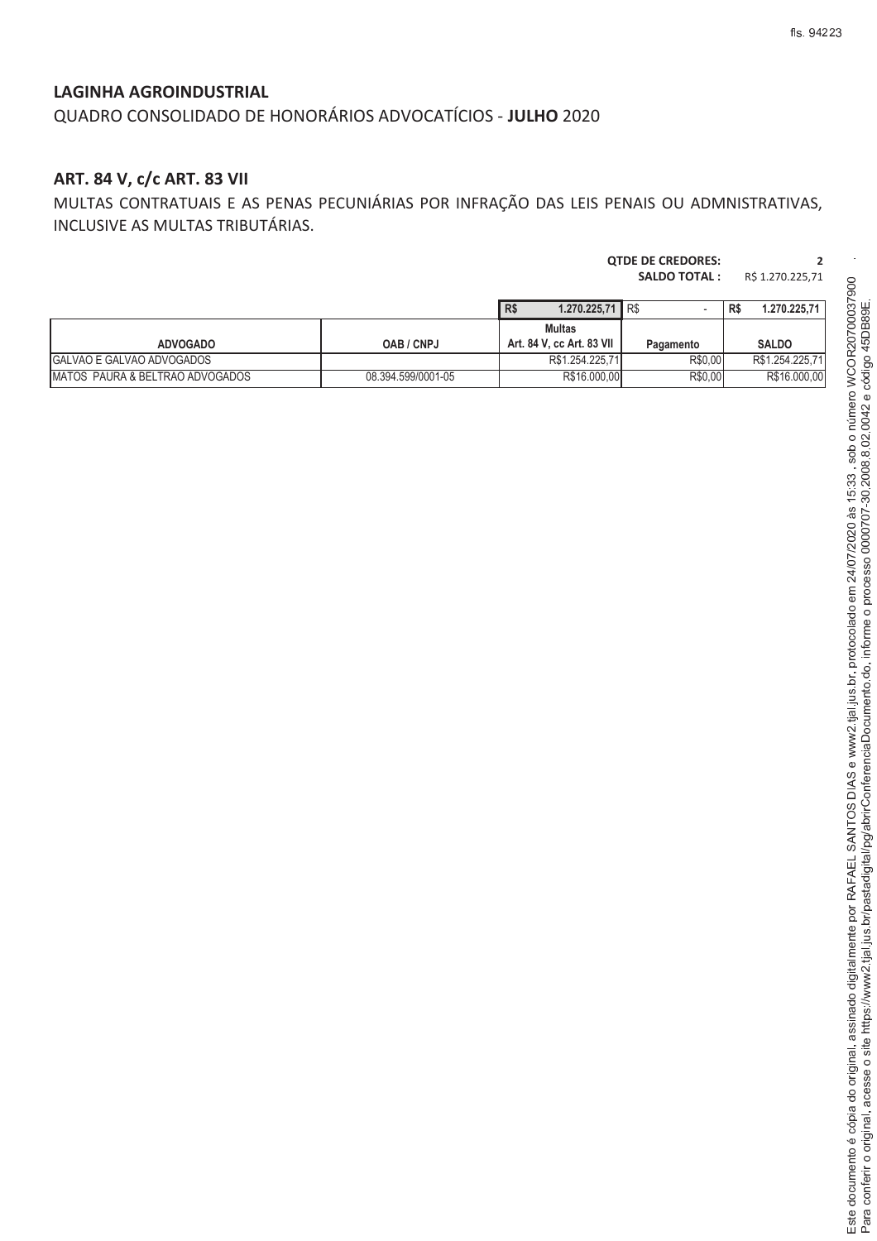QUADRO CONSOLIDADO DE HONORÁRIOS ADVOCATÍCIOS - **JULHO** 2020

# **ART. 84 V, c/c ART. 83 VII**

MULTAS CONTRATUAIS E AS PENAS PECUNIÁRIAS POR INFRAÇÃO DAS LEIS PENAIS OU ADMNISTRATIVAS, INCLUSIVE AS MULTAS TRIBUTÁRIAS.

|                                 |                    |                                            | <b>SALDO TOTAL:</b><br>R\$ 1.270.225,71 |                     |
|---------------------------------|--------------------|--------------------------------------------|-----------------------------------------|---------------------|
|                                 |                    | R\$<br>$1.270.225.71$ R\$                  |                                         | 1.270.225,71<br>R\$ |
| <b>ADVOGADO</b>                 | OAB / CNPJ         | <b>Multas</b><br>Art. 84 V, cc Art. 83 VII | Pagamento                               | <b>SALDO</b>        |
| GALVAO E GALVAO ADVOGADOS       |                    | R\$1.254.225.71                            | R\$0.00                                 | R\$1.254.225,71     |
| MATOS PAURA & BELTRAO ADVOGADOS | 08.394.599/0001-05 | R\$16.000,00                               | R\$0,00                                 | R\$16.000,00        |

**QTDE DE CREDORES: 2**